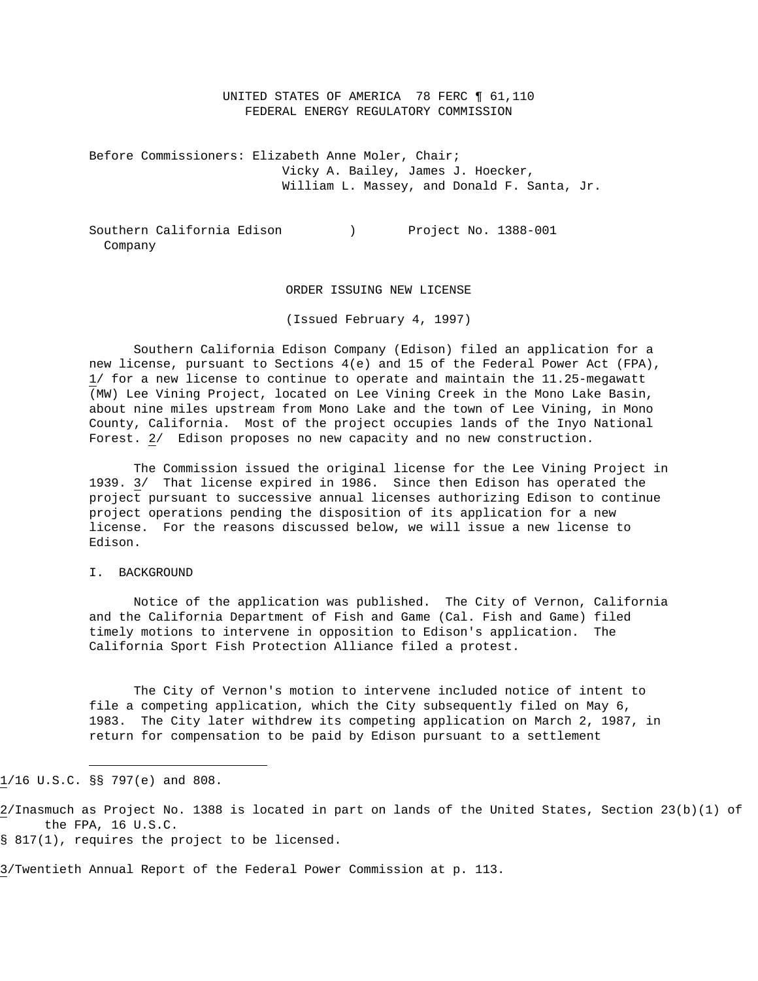UNITED STATES OF AMERICA 78 FERC ¶ 61,110 FEDERAL ENERGY REGULATORY COMMISSION

Before Commissioners: Elizabeth Anne Moler, Chair; Vicky A. Bailey, James J. Hoecker, William L. Massey, and Donald F. Santa, Jr.

Southern California Edison (a) Project No. 1388-001 Company

### ORDER ISSUING NEW LICENSE

(Issued February 4, 1997)

 Southern California Edison Company (Edison) filed an application for a new license, pursuant to Sections 4(e) and 15 of the Federal Power Act (FPA), 1/ for a new license to continue to operate and maintain the 11.25-megawatt (MW) Lee Vining Project, located on Lee Vining Creek in the Mono Lake Basin, about nine miles upstream from Mono Lake and the town of Lee Vining, in Mono County, California. Most of the project occupies lands of the Inyo National Forest. 2/ Edison proposes no new capacity and no new construction.

 The Commission issued the original license for the Lee Vining Project in 1939. 3/ That license expired in 1986. Since then Edison has operated the project pursuant to successive annual licenses authorizing Edison to continue project operations pending the disposition of its application for a new license. For the reasons discussed below, we will issue a new license to Edison.

### I. BACKGROUND

 Notice of the application was published. The City of Vernon, California and the California Department of Fish and Game (Cal. Fish and Game) filed timely motions to intervene in opposition to Edison's application. The California Sport Fish Protection Alliance filed a protest.

 The City of Vernon's motion to intervene included notice of intent to file a competing application, which the City subsequently filed on May 6, 1983. The City later withdrew its competing application on March 2, 1987, in return for compensation to be paid by Edison pursuant to a settlement

1/16 U.S.C. §§ 797(e) and 808.

i

2/Inasmuch as Project No. 1388 is located in part on lands of the United States, Section 23(b)(1) of the FPA, 16 U.S.C.

§ 817(1), requires the project to be licensed.

3/Twentieth Annual Report of the Federal Power Commission at p. 113.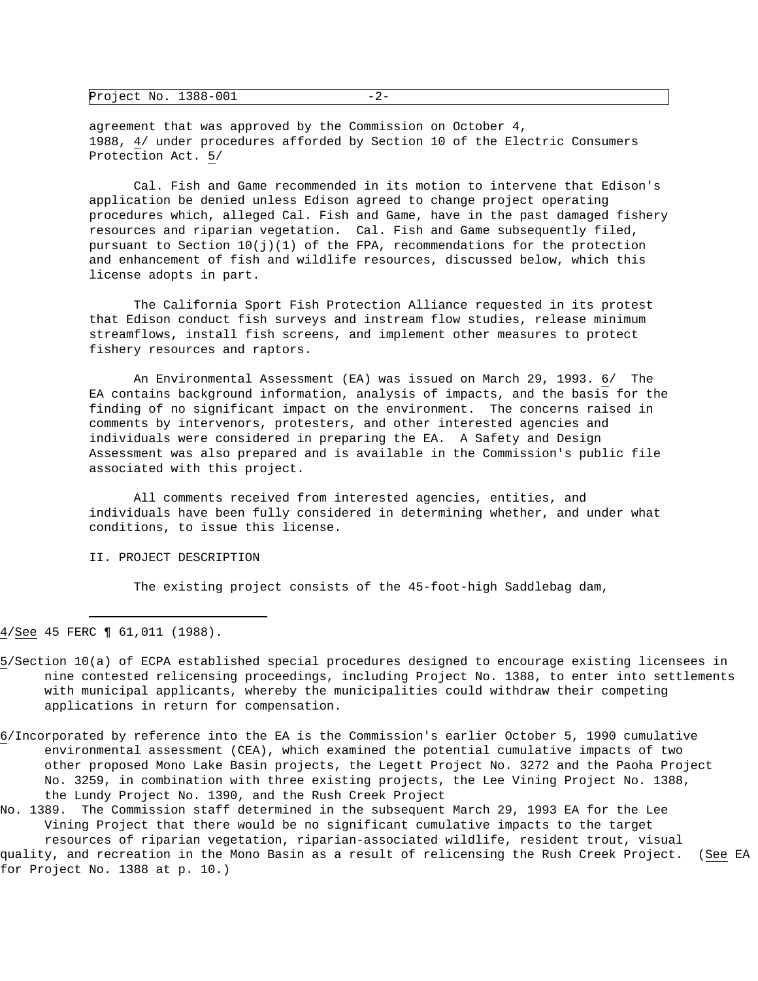| Project No. 1388-001 |  | <u>_</u> |
|----------------------|--|----------|
|----------------------|--|----------|

agreement that was approved by the Commission on October 4, 1988, 4/ under procedures afforded by Section 10 of the Electric Consumers Protection Act. 5/

 Cal. Fish and Game recommended in its motion to intervene that Edison's application be denied unless Edison agreed to change project operating procedures which, alleged Cal. Fish and Game, have in the past damaged fishery resources and riparian vegetation. Cal. Fish and Game subsequently filed, pursuant to Section  $10(j)(1)$  of the FPA, recommendations for the protection and enhancement of fish and wildlife resources, discussed below, which this license adopts in part.

 The California Sport Fish Protection Alliance requested in its protest that Edison conduct fish surveys and instream flow studies, release minimum streamflows, install fish screens, and implement other measures to protect fishery resources and raptors.

 An Environmental Assessment (EA) was issued on March 29, 1993. 6/ The EA contains background information, analysis of impacts, and the basis for the finding of no significant impact on the environment. The concerns raised in comments by intervenors, protesters, and other interested agencies and individuals were considered in preparing the EA. A Safety and Design Assessment was also prepared and is available in the Commission's public file associated with this project.

 All comments received from interested agencies, entities, and individuals have been fully considered in determining whether, and under what conditions, to issue this license.

### II. PROJECT DESCRIPTION

The existing project consists of the 45-foot-high Saddlebag dam,

4/See 45 FERC ¶ 61,011 (1988).

i

- 5/Section 10(a) of ECPA established special procedures designed to encourage existing licensees in nine contested relicensing proceedings, including Project No. 1388, to enter into settlements with municipal applicants, whereby the municipalities could withdraw their competing applications in return for compensation.
- 6/Incorporated by reference into the EA is the Commission's earlier October 5, 1990 cumulative environmental assessment (CEA), which examined the potential cumulative impacts of two other proposed Mono Lake Basin projects, the Legett Project No. 3272 and the Paoha Project No. 3259, in combination with three existing projects, the Lee Vining Project No. 1388, the Lundy Project No. 1390, and the Rush Creek Project

No. 1389. The Commission staff determined in the subsequent March 29, 1993 EA for the Lee Vining Project that there would be no significant cumulative impacts to the target resources of riparian vegetation, riparian-associated wildlife, resident trout, visual quality, and recreation in the Mono Basin as a result of relicensing the Rush Creek Project. (See EA for Project No. 1388 at p. 10.)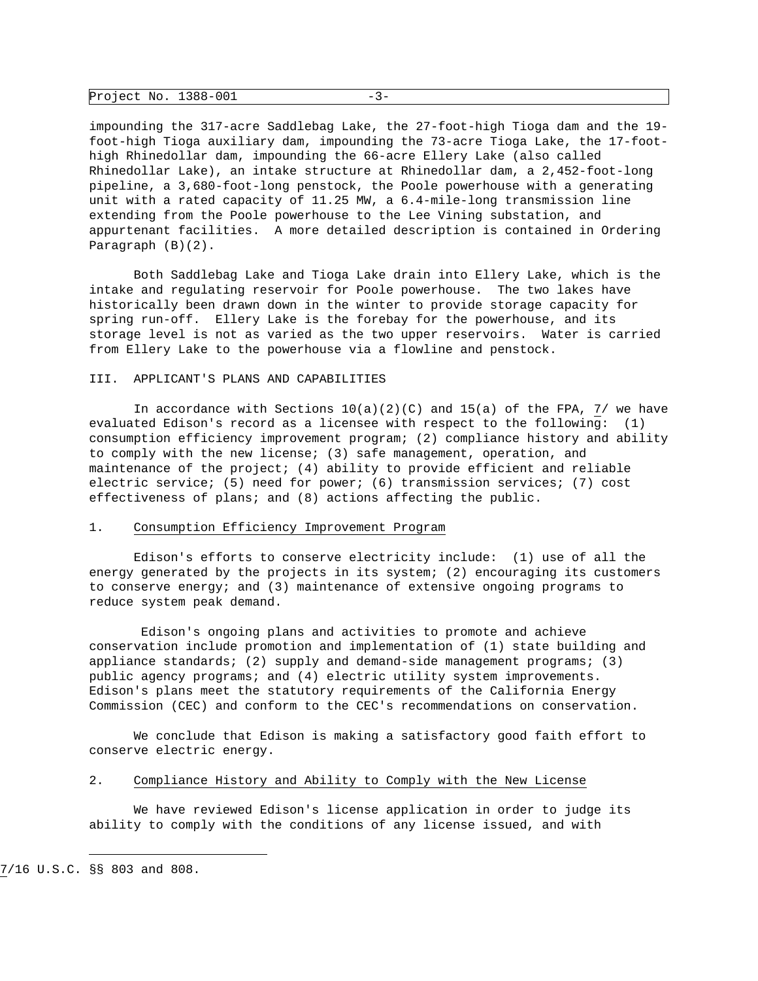| Project No. 1388-001 |  |  |
|----------------------|--|--|
|----------------------|--|--|

impounding the 317-acre Saddlebag Lake, the 27-foot-high Tioga dam and the 19 foot-high Tioga auxiliary dam, impounding the 73-acre Tioga Lake, the 17-foothigh Rhinedollar dam, impounding the 66-acre Ellery Lake (also called Rhinedollar Lake), an intake structure at Rhinedollar dam, a 2,452-foot-long pipeline, a 3,680-foot-long penstock, the Poole powerhouse with a generating unit with a rated capacity of 11.25 MW, a 6.4-mile-long transmission line extending from the Poole powerhouse to the Lee Vining substation, and appurtenant facilities. A more detailed description is contained in Ordering Paragraph (B)(2).

 Both Saddlebag Lake and Tioga Lake drain into Ellery Lake, which is the intake and regulating reservoir for Poole powerhouse. The two lakes have historically been drawn down in the winter to provide storage capacity for spring run-off. Ellery Lake is the forebay for the powerhouse, and its storage level is not as varied as the two upper reservoirs. Water is carried from Ellery Lake to the powerhouse via a flowline and penstock.

### III. APPLICANT'S PLANS AND CAPABILITIES

In accordance with Sections  $10(a)(2)(C)$  and  $15(a)$  of the FPA, 7/ we have evaluated Edison's record as a licensee with respect to the following: (1) consumption efficiency improvement program; (2) compliance history and ability to comply with the new license; (3) safe management, operation, and maintenance of the project; (4) ability to provide efficient and reliable electric service; (5) need for power; (6) transmission services; (7) cost effectiveness of plans; and (8) actions affecting the public.

#### 1. Consumption Efficiency Improvement Program

 Edison's efforts to conserve electricity include: (1) use of all the energy generated by the projects in its system; (2) encouraging its customers to conserve energy; and (3) maintenance of extensive ongoing programs to reduce system peak demand.

 Edison's ongoing plans and activities to promote and achieve conservation include promotion and implementation of (1) state building and appliance standards; (2) supply and demand-side management programs; (3) public agency programs; and (4) electric utility system improvements. Edison's plans meet the statutory requirements of the California Energy Commission (CEC) and conform to the CEC's recommendations on conservation.

 We conclude that Edison is making a satisfactory good faith effort to conserve electric energy.

#### 2. Compliance History and Ability to Comply with the New License

 We have reviewed Edison's license application in order to judge its ability to comply with the conditions of any license issued, and with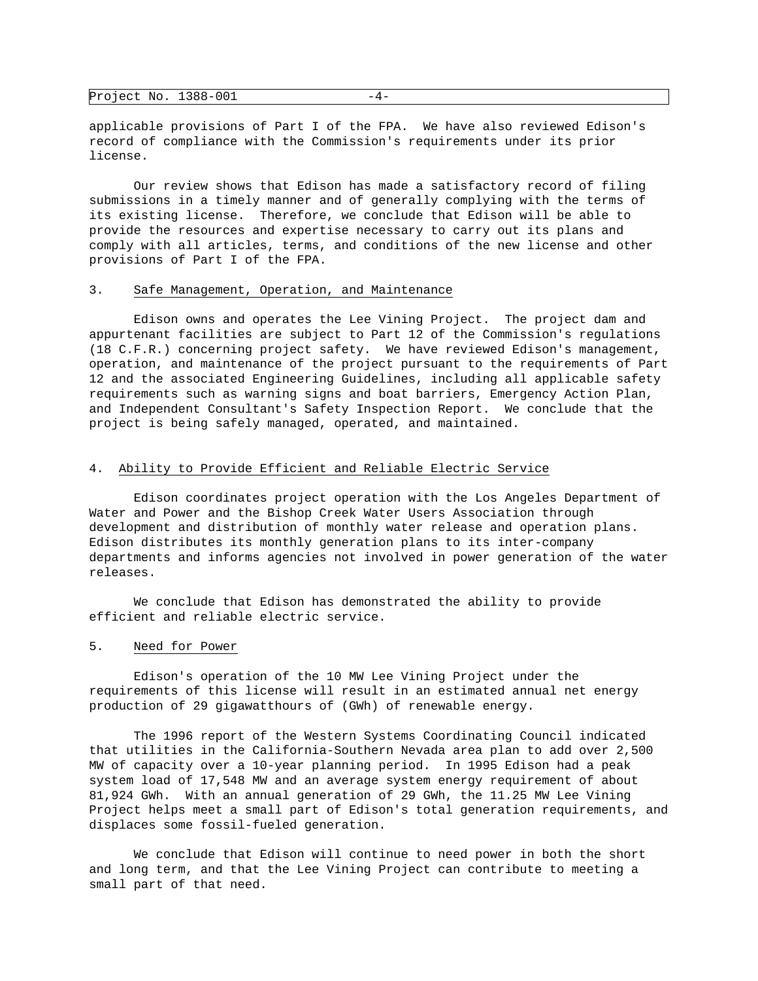| Project No. 1388-001 |  | --- |
|----------------------|--|-----|
|----------------------|--|-----|

applicable provisions of Part I of the FPA. We have also reviewed Edison's record of compliance with the Commission's requirements under its prior license.

 Our review shows that Edison has made a satisfactory record of filing submissions in a timely manner and of generally complying with the terms of its existing license. Therefore, we conclude that Edison will be able to provide the resources and expertise necessary to carry out its plans and comply with all articles, terms, and conditions of the new license and other provisions of Part I of the FPA.

### 3. Safe Management, Operation, and Maintenance

 Edison owns and operates the Lee Vining Project. The project dam and appurtenant facilities are subject to Part 12 of the Commission's regulations (18 C.F.R.) concerning project safety. We have reviewed Edison's management, operation, and maintenance of the project pursuant to the requirements of Part 12 and the associated Engineering Guidelines, including all applicable safety requirements such as warning signs and boat barriers, Emergency Action Plan, and Independent Consultant's Safety Inspection Report. We conclude that the project is being safely managed, operated, and maintained.

# 4. Ability to Provide Efficient and Reliable Electric Service

 Edison coordinates project operation with the Los Angeles Department of Water and Power and the Bishop Creek Water Users Association through development and distribution of monthly water release and operation plans. Edison distributes its monthly generation plans to its inter-company departments and informs agencies not involved in power generation of the water releases.

 We conclude that Edison has demonstrated the ability to provide efficient and reliable electric service.

#### 5. Need for Power

 Edison's operation of the 10 MW Lee Vining Project under the requirements of this license will result in an estimated annual net energy production of 29 gigawatthours of (GWh) of renewable energy.

 The 1996 report of the Western Systems Coordinating Council indicated that utilities in the California-Southern Nevada area plan to add over 2,500 MW of capacity over a 10-year planning period. In 1995 Edison had a peak system load of 17,548 MW and an average system energy requirement of about 81,924 GWh. With an annual generation of 29 GWh, the 11.25 MW Lee Vining Project helps meet a small part of Edison's total generation requirements, and displaces some fossil-fueled generation.

 We conclude that Edison will continue to need power in both the short and long term, and that the Lee Vining Project can contribute to meeting a small part of that need.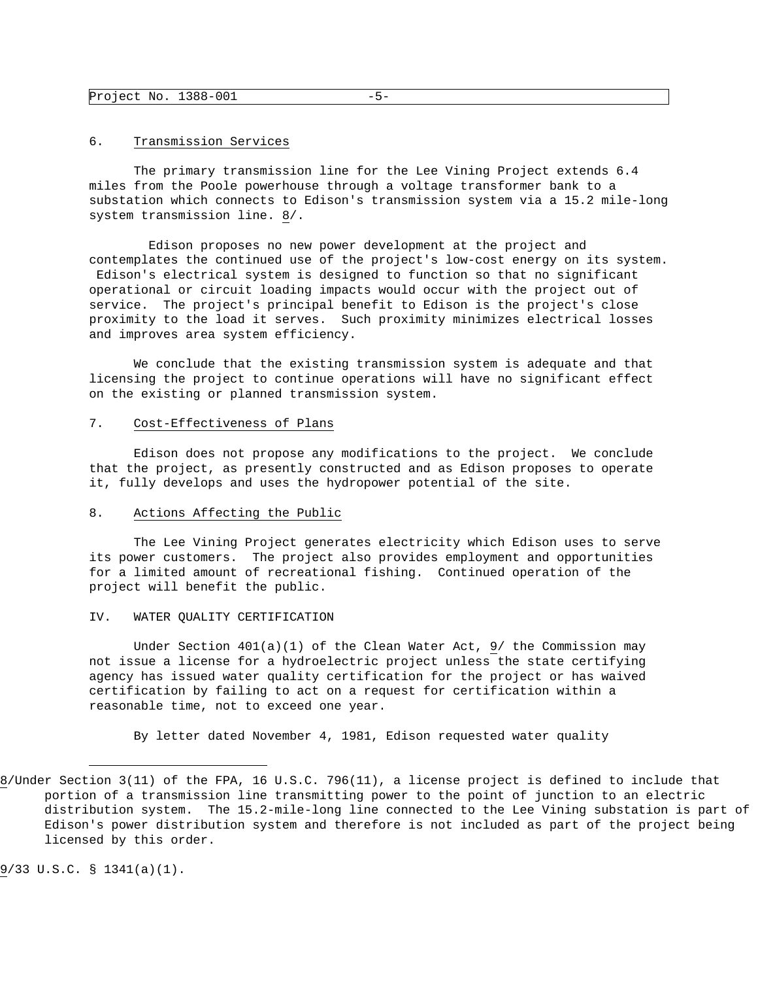### 6. Transmission Services

 The primary transmission line for the Lee Vining Project extends 6.4 miles from the Poole powerhouse through a voltage transformer bank to a substation which connects to Edison's transmission system via a 15.2 mile-long system transmission line. 8/.

 Edison proposes no new power development at the project and contemplates the continued use of the project's low-cost energy on its system. Edison's electrical system is designed to function so that no significant operational or circuit loading impacts would occur with the project out of service. The project's principal benefit to Edison is the project's close proximity to the load it serves. Such proximity minimizes electrical losses and improves area system efficiency.

 We conclude that the existing transmission system is adequate and that licensing the project to continue operations will have no significant effect on the existing or planned transmission system.

# 7. Cost-Effectiveness of Plans

 Edison does not propose any modifications to the project. We conclude that the project, as presently constructed and as Edison proposes to operate it, fully develops and uses the hydropower potential of the site.

### 8. Actions Affecting the Public

 The Lee Vining Project generates electricity which Edison uses to serve its power customers. The project also provides employment and opportunities for a limited amount of recreational fishing. Continued operation of the project will benefit the public.

#### IV. WATER QUALITY CERTIFICATION

Under Section  $401(a)(1)$  of the Clean Water Act, 9/ the Commission may not issue a license for a hydroelectric project unless the state certifying agency has issued water quality certification for the project or has waived certification by failing to act on a request for certification within a reasonable time, not to exceed one year.

By letter dated November 4, 1981, Edison requested water quality

9/33 U.S.C. § 1341(a)(1).

<sup>8/</sup>Under Section 3(11) of the FPA, 16 U.S.C. 796(11), a license project is defined to include that portion of a transmission line transmitting power to the point of junction to an electric distribution system. The 15.2-mile-long line connected to the Lee Vining substation is part of Edison's power distribution system and therefore is not included as part of the project being licensed by this order.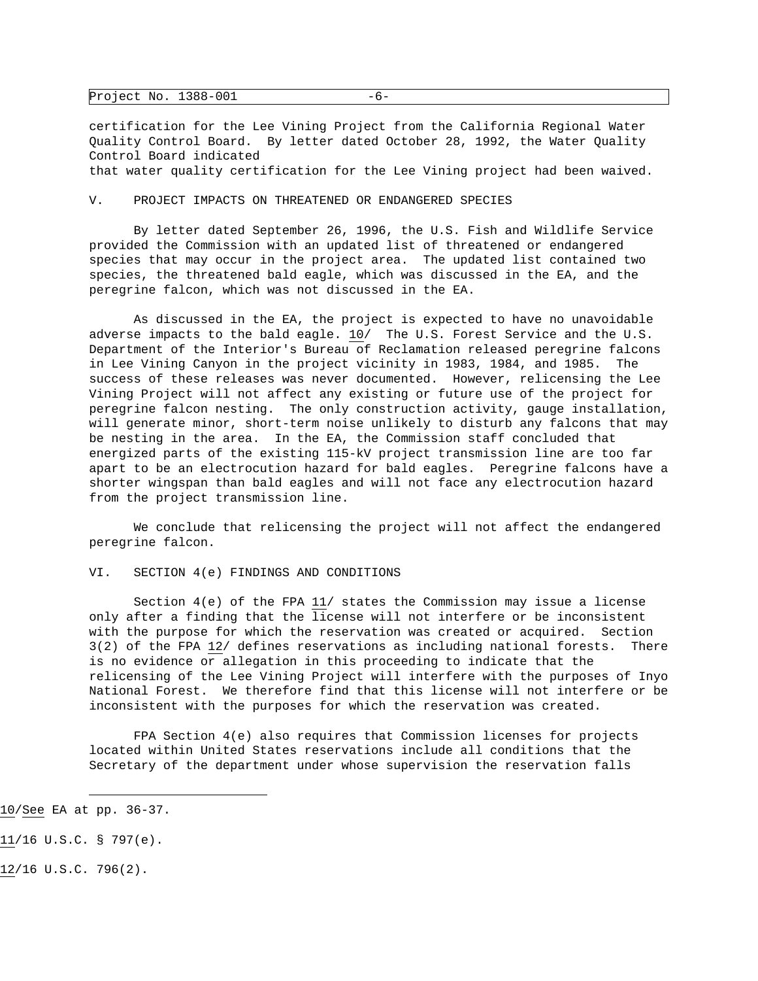| Project No. $1388-001$ | -6- |  |
|------------------------|-----|--|
|------------------------|-----|--|

certification for the Lee Vining Project from the California Regional Water Quality Control Board. By letter dated October 28, 1992, the Water Quality Control Board indicated that water quality certification for the Lee Vining project had been waived.

#### V. PROJECT IMPACTS ON THREATENED OR ENDANGERED SPECIES

 By letter dated September 26, 1996, the U.S. Fish and Wildlife Service provided the Commission with an updated list of threatened or endangered species that may occur in the project area. The updated list contained two species, the threatened bald eagle, which was discussed in the EA, and the peregrine falcon, which was not discussed in the EA.

 As discussed in the EA, the project is expected to have no unavoidable adverse impacts to the bald eagle. 10/ The U.S. Forest Service and the U.S. Department of the Interior's Bureau of Reclamation released peregrine falcons in Lee Vining Canyon in the project vicinity in 1983, 1984, and 1985. The success of these releases was never documented. However, relicensing the Lee Vining Project will not affect any existing or future use of the project for peregrine falcon nesting. The only construction activity, gauge installation, will generate minor, short-term noise unlikely to disturb any falcons that may be nesting in the area. In the EA, the Commission staff concluded that energized parts of the existing 115-kV project transmission line are too far apart to be an electrocution hazard for bald eagles. Peregrine falcons have a shorter wingspan than bald eagles and will not face any electrocution hazard from the project transmission line.

 We conclude that relicensing the project will not affect the endangered peregrine falcon.

### VI. SECTION 4(e) FINDINGS AND CONDITIONS

Section  $4(e)$  of the FPA  $11/$  states the Commission may issue a license only after a finding that the license will not interfere or be inconsistent with the purpose for which the reservation was created or acquired. Section 3(2) of the FPA 12/ defines reservations as including national forests. There is no evidence or allegation in this proceeding to indicate that the relicensing of the Lee Vining Project will interfere with the purposes of Inyo National Forest. We therefore find that this license will not interfere or be inconsistent with the purposes for which the reservation was created.

 FPA Section 4(e) also requires that Commission licenses for projects located within United States reservations include all conditions that the Secretary of the department under whose supervision the reservation falls

i 10/See EA at pp. 36-37.

<sup>11/16</sup> U.S.C. § 797(e).

<sup>12/16</sup> U.S.C. 796(2).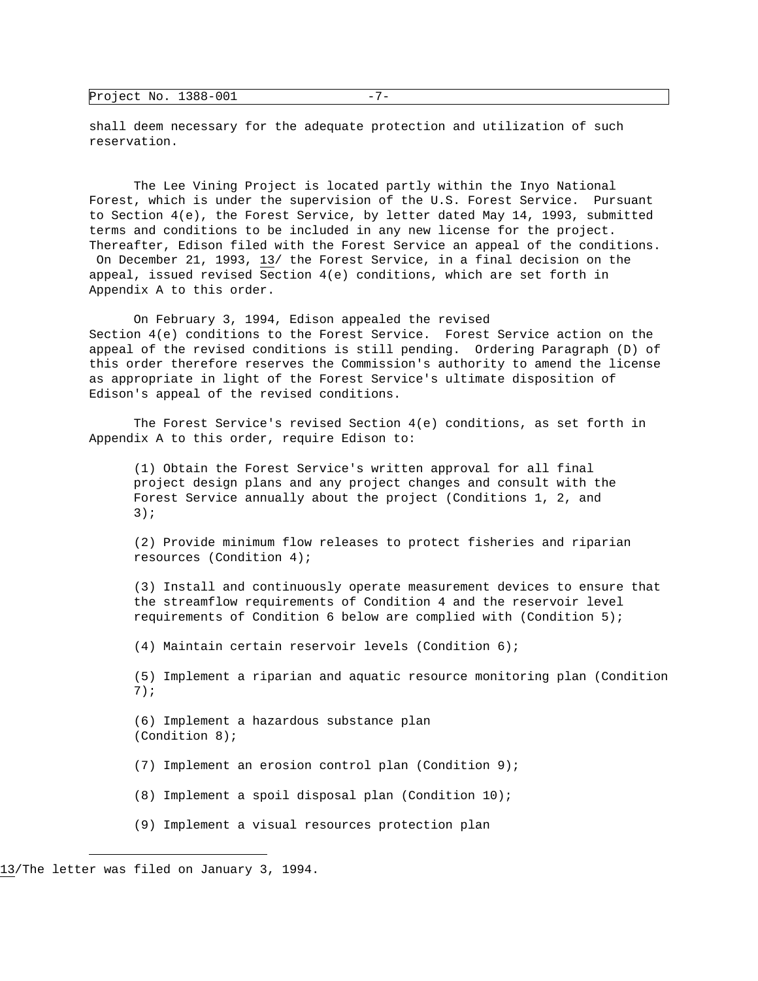| Project No. | 1388-001 | . |  |
|-------------|----------|---|--|
|-------------|----------|---|--|

shall deem necessary for the adequate protection and utilization of such reservation.

 The Lee Vining Project is located partly within the Inyo National Forest, which is under the supervision of the U.S. Forest Service. Pursuant to Section 4(e), the Forest Service, by letter dated May 14, 1993, submitted terms and conditions to be included in any new license for the project. Thereafter, Edison filed with the Forest Service an appeal of the conditions. On December 21, 1993, 13/ the Forest Service, in a final decision on the appeal, issued revised Section 4(e) conditions, which are set forth in Appendix A to this order.

 On February 3, 1994, Edison appealed the revised Section 4(e) conditions to the Forest Service. Forest Service action on the appeal of the revised conditions is still pending. Ordering Paragraph (D) of this order therefore reserves the Commission's authority to amend the license as appropriate in light of the Forest Service's ultimate disposition of Edison's appeal of the revised conditions.

 The Forest Service's revised Section 4(e) conditions, as set forth in Appendix A to this order, require Edison to:

 (1) Obtain the Forest Service's written approval for all final project design plans and any project changes and consult with the Forest Service annually about the project (Conditions 1, 2, and 3);

 (2) Provide minimum flow releases to protect fisheries and riparian resources (Condition 4);

 (3) Install and continuously operate measurement devices to ensure that the streamflow requirements of Condition 4 and the reservoir level requirements of Condition 6 below are complied with (Condition 5);

(4) Maintain certain reservoir levels (Condition 6);

 (5) Implement a riparian and aquatic resource monitoring plan (Condition 7);

 (6) Implement a hazardous substance plan (Condition 8);

- (7) Implement an erosion control plan (Condition 9);
- (8) Implement a spoil disposal plan (Condition 10);
- (9) Implement a visual resources protection plan

<sup>13/</sup>The letter was filed on January 3, 1994.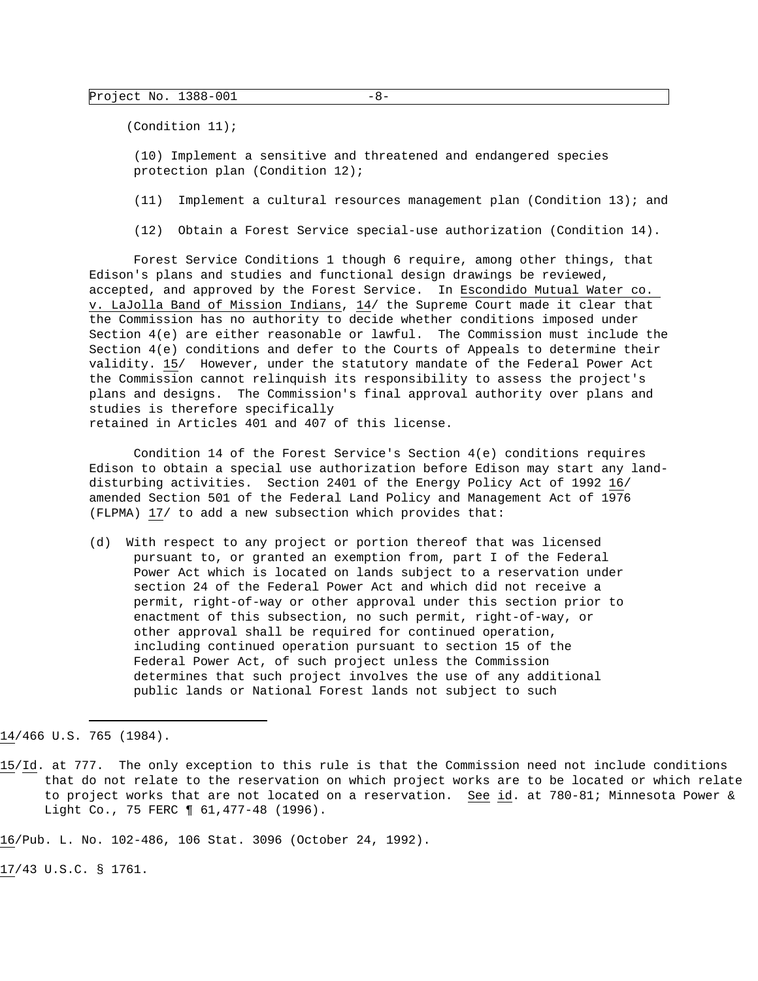(Condition 11);

 (10) Implement a sensitive and threatened and endangered species protection plan (Condition 12);

(11) Implement a cultural resources management plan (Condition 13); and

(12) Obtain a Forest Service special-use authorization (Condition 14).

 Forest Service Conditions 1 though 6 require, among other things, that Edison's plans and studies and functional design drawings be reviewed, accepted, and approved by the Forest Service. In Escondido Mutual Water co. v. LaJolla Band of Mission Indians, 14/ the Supreme Court made it clear that the Commission has no authority to decide whether conditions imposed under Section 4(e) are either reasonable or lawful. The Commission must include the Section 4(e) conditions and defer to the Courts of Appeals to determine their validity. 15/ However, under the statutory mandate of the Federal Power Act the Commission cannot relinquish its responsibility to assess the project's plans and designs. The Commission's final approval authority over plans and studies is therefore specifically retained in Articles 401 and 407 of this license.

 Condition 14 of the Forest Service's Section 4(e) conditions requires Edison to obtain a special use authorization before Edison may start any landdisturbing activities. Section 2401 of the Energy Policy Act of 1992 16/ amended Section 501 of the Federal Land Policy and Management Act of 1976 (FLPMA) 17/ to add a new subsection which provides that:

(d) With respect to any project or portion thereof that was licensed pursuant to, or granted an exemption from, part I of the Federal Power Act which is located on lands subject to a reservation under section 24 of the Federal Power Act and which did not receive a permit, right-of-way or other approval under this section prior to enactment of this subsection, no such permit, right-of-way, or other approval shall be required for continued operation, including continued operation pursuant to section 15 of the Federal Power Act, of such project unless the Commission determines that such project involves the use of any additional public lands or National Forest lands not subject to such

i 14/466 U.S. 765 (1984).

16/Pub. L. No. 102-486, 106 Stat. 3096 (October 24, 1992).

17/43 U.S.C. § 1761.

<sup>15/</sup>Id. at 777. The only exception to this rule is that the Commission need not include conditions that do not relate to the reservation on which project works are to be located or which relate to project works that are not located on a reservation. See id. at 780-81; Minnesota Power & Light Co., 75 FERC 1 61, 477-48 (1996).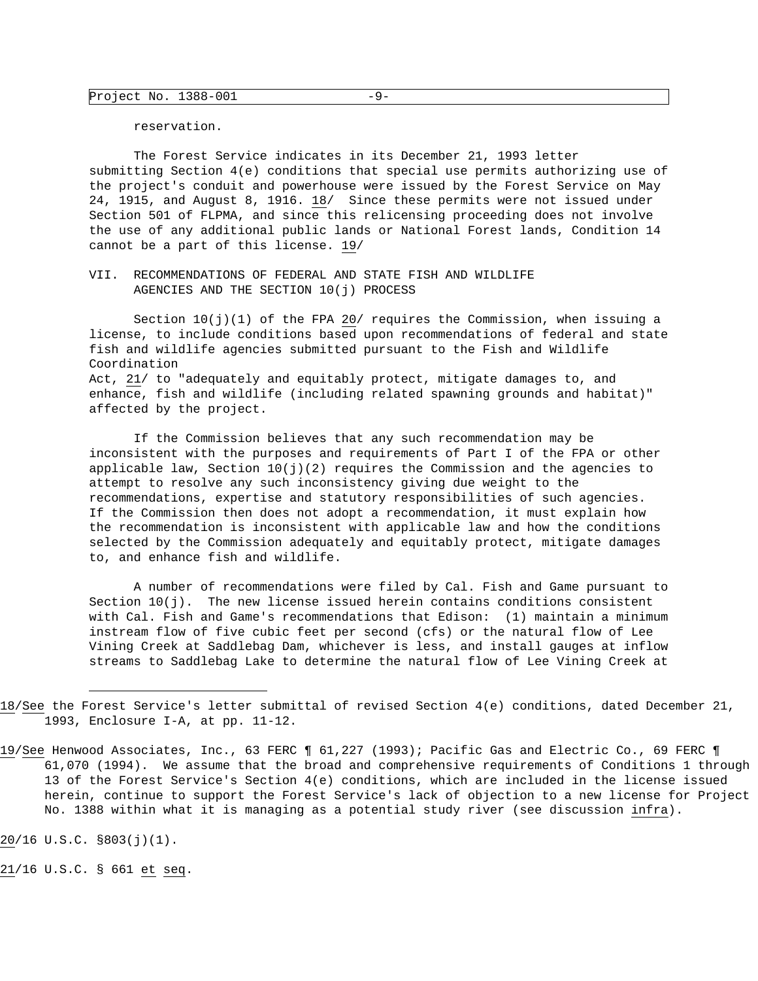reservation.

 The Forest Service indicates in its December 21, 1993 letter submitting Section 4(e) conditions that special use permits authorizing use of the project's conduit and powerhouse were issued by the Forest Service on May 24, 1915, and August 8, 1916. 18/ Since these permits were not issued under Section 501 of FLPMA, and since this relicensing proceeding does not involve the use of any additional public lands or National Forest lands, Condition 14 cannot be a part of this license. 19/

VII. RECOMMENDATIONS OF FEDERAL AND STATE FISH AND WILDLIFE AGENCIES AND THE SECTION 10(j) PROCESS

Section  $10(j)(1)$  of the FPA 20/ requires the Commission, when issuing a license, to include conditions based upon recommendations of federal and state fish and wildlife agencies submitted pursuant to the Fish and Wildlife Coordination Act, 21/ to "adequately and equitably protect, mitigate damages to, and enhance, fish and wildlife (including related spawning grounds and habitat)" affected by the project.

 If the Commission believes that any such recommendation may be inconsistent with the purposes and requirements of Part I of the FPA or other applicable law, Section  $10(j)(2)$  requires the Commission and the agencies to attempt to resolve any such inconsistency giving due weight to the recommendations, expertise and statutory responsibilities of such agencies. If the Commission then does not adopt a recommendation, it must explain how the recommendation is inconsistent with applicable law and how the conditions selected by the Commission adequately and equitably protect, mitigate damages to, and enhance fish and wildlife.

 A number of recommendations were filed by Cal. Fish and Game pursuant to Section  $10(j)$ . The new license issued herein contains conditions consistent with Cal. Fish and Game's recommendations that Edison: (1) maintain a minimum instream flow of five cubic feet per second (cfs) or the natural flow of Lee Vining Creek at Saddlebag Dam, whichever is less, and install gauges at inflow streams to Saddlebag Lake to determine the natural flow of Lee Vining Creek at

20/16 U.S.C. §803(j)(1).

i

21/16 U.S.C. § 661 et seq.

<sup>18/</sup>See the Forest Service's letter submittal of revised Section 4(e) conditions, dated December 21, 1993, Enclosure I-A, at pp. 11-12.

<sup>19/</sup>See Henwood Associates, Inc., 63 FERC ¶ 61,227 (1993); Pacific Gas and Electric Co., 69 FERC ¶ 61,070 (1994). We assume that the broad and comprehensive requirements of Conditions 1 through 13 of the Forest Service's Section 4(e) conditions, which are included in the license issued herein, continue to support the Forest Service's lack of objection to a new license for Project No. 1388 within what it is managing as a potential study river (see discussion infra).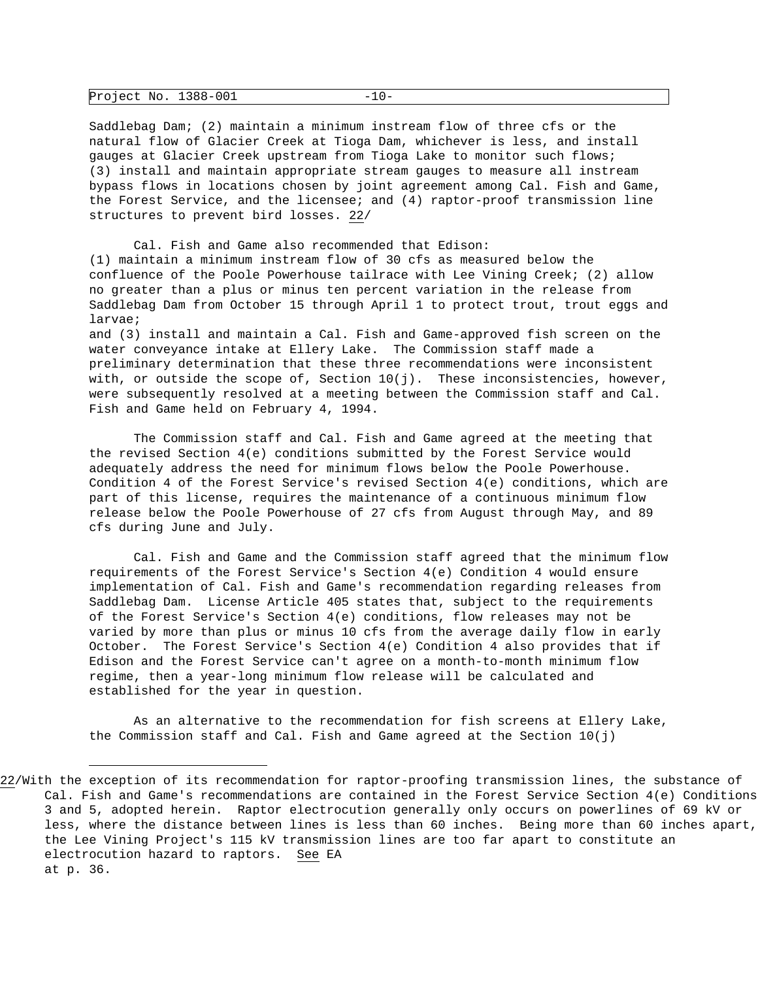| Project No. 1388-001 |  | . |
|----------------------|--|---|
|----------------------|--|---|

Saddlebag Dam; (2) maintain a minimum instream flow of three cfs or the natural flow of Glacier Creek at Tioga Dam, whichever is less, and install gauges at Glacier Creek upstream from Tioga Lake to monitor such flows; (3) install and maintain appropriate stream gauges to measure all instream bypass flows in locations chosen by joint agreement among Cal. Fish and Game, the Forest Service, and the licensee; and (4) raptor-proof transmission line structures to prevent bird losses. 22/

 Cal. Fish and Game also recommended that Edison: (1) maintain a minimum instream flow of 30 cfs as measured below the confluence of the Poole Powerhouse tailrace with Lee Vining Creek; (2) allow no greater than a plus or minus ten percent variation in the release from Saddlebag Dam from October 15 through April 1 to protect trout, trout eggs and larvae;

and (3) install and maintain a Cal. Fish and Game-approved fish screen on the water conveyance intake at Ellery Lake. The Commission staff made a preliminary determination that these three recommendations were inconsistent with, or outside the scope of, Section  $10(j)$ . These inconsistencies, however, were subsequently resolved at a meeting between the Commission staff and Cal. Fish and Game held on February 4, 1994.

 The Commission staff and Cal. Fish and Game agreed at the meeting that the revised Section 4(e) conditions submitted by the Forest Service would adequately address the need for minimum flows below the Poole Powerhouse. Condition 4 of the Forest Service's revised Section 4(e) conditions, which are part of this license, requires the maintenance of a continuous minimum flow release below the Poole Powerhouse of 27 cfs from August through May, and 89 cfs during June and July.

 Cal. Fish and Game and the Commission staff agreed that the minimum flow requirements of the Forest Service's Section 4(e) Condition 4 would ensure implementation of Cal. Fish and Game's recommendation regarding releases from Saddlebag Dam. License Article 405 states that, subject to the requirements of the Forest Service's Section 4(e) conditions, flow releases may not be varied by more than plus or minus 10 cfs from the average daily flow in early October. The Forest Service's Section 4(e) Condition 4 also provides that if Edison and the Forest Service can't agree on a month-to-month minimum flow regime, then a year-long minimum flow release will be calculated and established for the year in question.

 As an alternative to the recommendation for fish screens at Ellery Lake, the Commission staff and Cal. Fish and Game agreed at the Section 10(j)

<sup>22/</sup>With the exception of its recommendation for raptor-proofing transmission lines, the substance of Cal. Fish and Game's recommendations are contained in the Forest Service Section 4(e) Conditions 3 and 5, adopted herein. Raptor electrocution generally only occurs on powerlines of 69 kV or less, where the distance between lines is less than 60 inches. Being more than 60 inches apart, the Lee Vining Project's 115 kV transmission lines are too far apart to constitute an electrocution hazard to raptors. See EA at p. 36.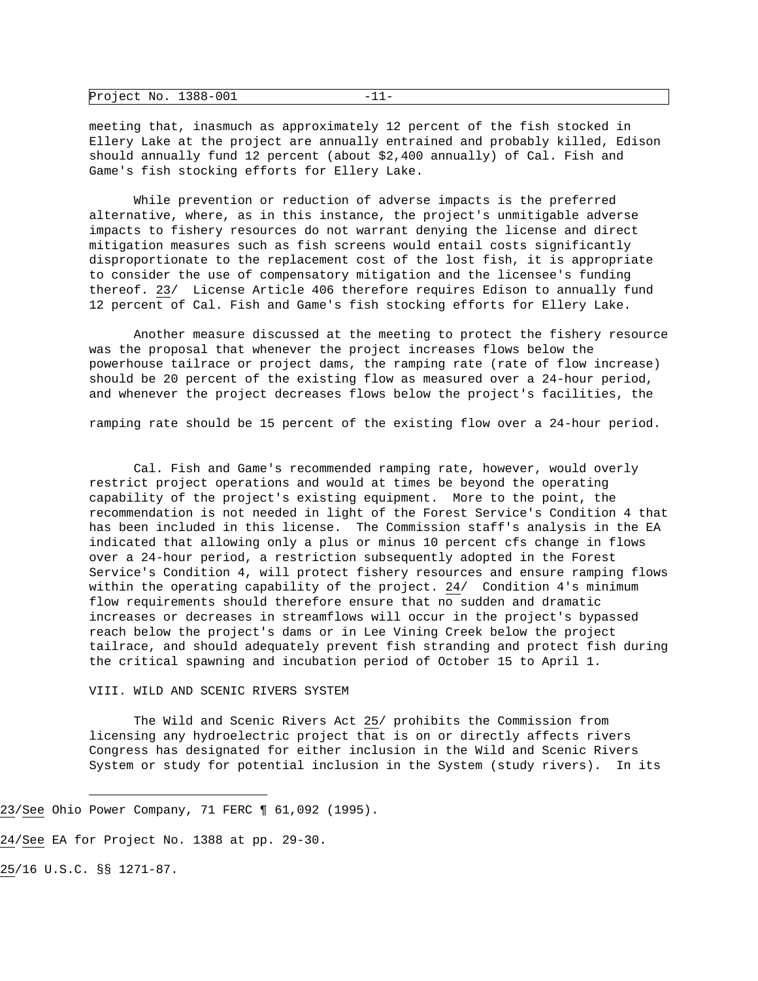| Project No. 1388-001 |  |  |
|----------------------|--|--|
|----------------------|--|--|

meeting that, inasmuch as approximately 12 percent of the fish stocked in Ellery Lake at the project are annually entrained and probably killed, Edison should annually fund 12 percent (about \$2,400 annually) of Cal. Fish and Game's fish stocking efforts for Ellery Lake.

 While prevention or reduction of adverse impacts is the preferred alternative, where, as in this instance, the project's unmitigable adverse impacts to fishery resources do not warrant denying the license and direct mitigation measures such as fish screens would entail costs significantly disproportionate to the replacement cost of the lost fish, it is appropriate to consider the use of compensatory mitigation and the licensee's funding thereof. 23/ License Article 406 therefore requires Edison to annually fund 12 percent of Cal. Fish and Game's fish stocking efforts for Ellery Lake.

 Another measure discussed at the meeting to protect the fishery resource was the proposal that whenever the project increases flows below the powerhouse tailrace or project dams, the ramping rate (rate of flow increase) should be 20 percent of the existing flow as measured over a 24-hour period, and whenever the project decreases flows below the project's facilities, the

ramping rate should be 15 percent of the existing flow over a 24-hour period.

 Cal. Fish and Game's recommended ramping rate, however, would overly restrict project operations and would at times be beyond the operating capability of the project's existing equipment. More to the point, the recommendation is not needed in light of the Forest Service's Condition 4 that has been included in this license. The Commission staff's analysis in the EA indicated that allowing only a plus or minus 10 percent cfs change in flows over a 24-hour period, a restriction subsequently adopted in the Forest Service's Condition 4, will protect fishery resources and ensure ramping flows within the operating capability of the project. 24/ Condition 4's minimum flow requirements should therefore ensure that no sudden and dramatic increases or decreases in streamflows will occur in the project's bypassed reach below the project's dams or in Lee Vining Creek below the project tailrace, and should adequately prevent fish stranding and protect fish during the critical spawning and incubation period of October 15 to April 1.

VIII. WILD AND SCENIC RIVERS SYSTEM

 The Wild and Scenic Rivers Act 25/ prohibits the Commission from licensing any hydroelectric project that is on or directly affects rivers Congress has designated for either inclusion in the Wild and Scenic Rivers System or study for potential inclusion in the System (study rivers). In its

23/See Ohio Power Company, 71 FERC ¶ 61,092 (1995).

24/See EA for Project No. 1388 at pp. 29-30.

25/16 U.S.C. §§ 1271-87.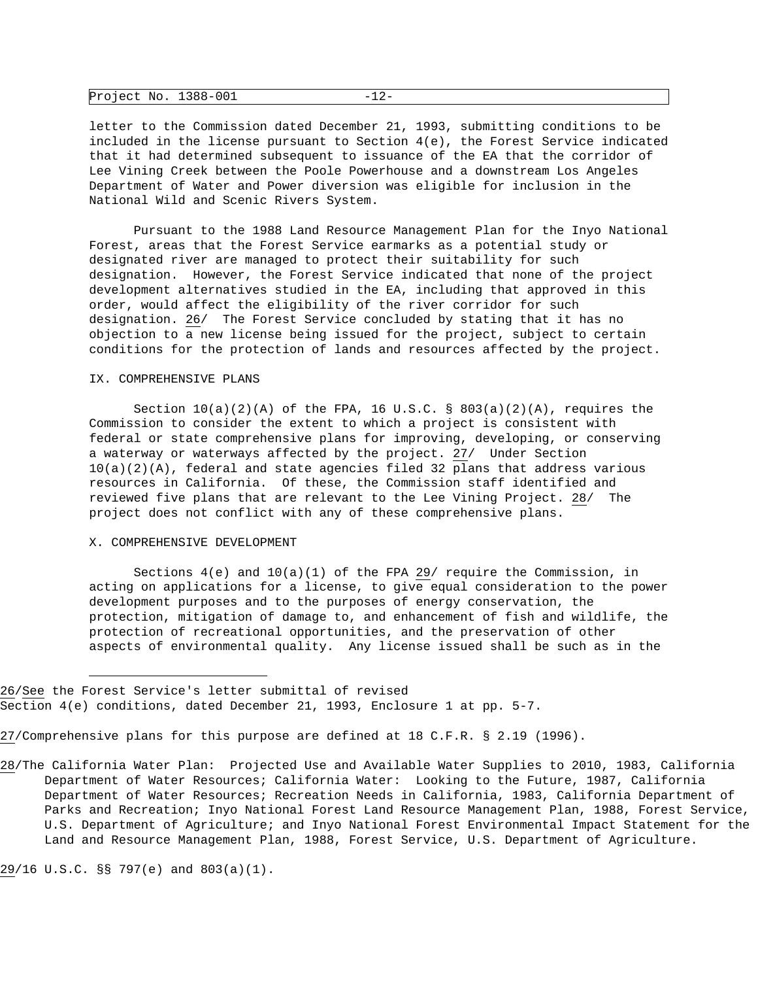| Project No. 1388-001 |  |  |
|----------------------|--|--|
|----------------------|--|--|

letter to the Commission dated December 21, 1993, submitting conditions to be included in the license pursuant to Section 4(e), the Forest Service indicated that it had determined subsequent to issuance of the EA that the corridor of Lee Vining Creek between the Poole Powerhouse and a downstream Los Angeles Department of Water and Power diversion was eligible for inclusion in the National Wild and Scenic Rivers System.

 Pursuant to the 1988 Land Resource Management Plan for the Inyo National Forest, areas that the Forest Service earmarks as a potential study or designated river are managed to protect their suitability for such designation. However, the Forest Service indicated that none of the project development alternatives studied in the EA, including that approved in this order, would affect the eligibility of the river corridor for such designation. 26/ The Forest Service concluded by stating that it has no objection to a new license being issued for the project, subject to certain conditions for the protection of lands and resources affected by the project.

#### IX. COMPREHENSIVE PLANS

Section  $10(a)(2)(A)$  of the FPA, 16 U.S.C. § 803(a)(2)(A), requires the Commission to consider the extent to which a project is consistent with federal or state comprehensive plans for improving, developing, or conserving a waterway or waterways affected by the project. 27/ Under Section  $10(a)(2)(A)$ , federal and state agencies filed 32 plans that address various resources in California. Of these, the Commission staff identified and reviewed five plans that are relevant to the Lee Vining Project. 28/ The project does not conflict with any of these comprehensive plans.

#### X. COMPREHENSIVE DEVELOPMENT

Sections  $4(e)$  and  $10(a)(1)$  of the FPA 29/ require the Commission, in acting on applications for a license, to give equal consideration to the power development purposes and to the purposes of energy conservation, the protection, mitigation of damage to, and enhancement of fish and wildlife, the protection of recreational opportunities, and the preservation of other aspects of environmental quality. Any license issued shall be such as in the

27/Comprehensive plans for this purpose are defined at 18 C.F.R. § 2.19 (1996).

29/16 U.S.C. §§ 797(e) and 803(a)(1).

<sup>26/</sup>See the Forest Service's letter submittal of revised Section 4(e) conditions, dated December 21, 1993, Enclosure 1 at pp. 5-7.

<sup>28/</sup>The California Water Plan: Projected Use and Available Water Supplies to 2010, 1983, California Department of Water Resources; California Water: Looking to the Future, 1987, California Department of Water Resources; Recreation Needs in California, 1983, California Department of Parks and Recreation; Inyo National Forest Land Resource Management Plan, 1988, Forest Service, U.S. Department of Agriculture; and Inyo National Forest Environmental Impact Statement for the Land and Resource Management Plan, 1988, Forest Service, U.S. Department of Agriculture.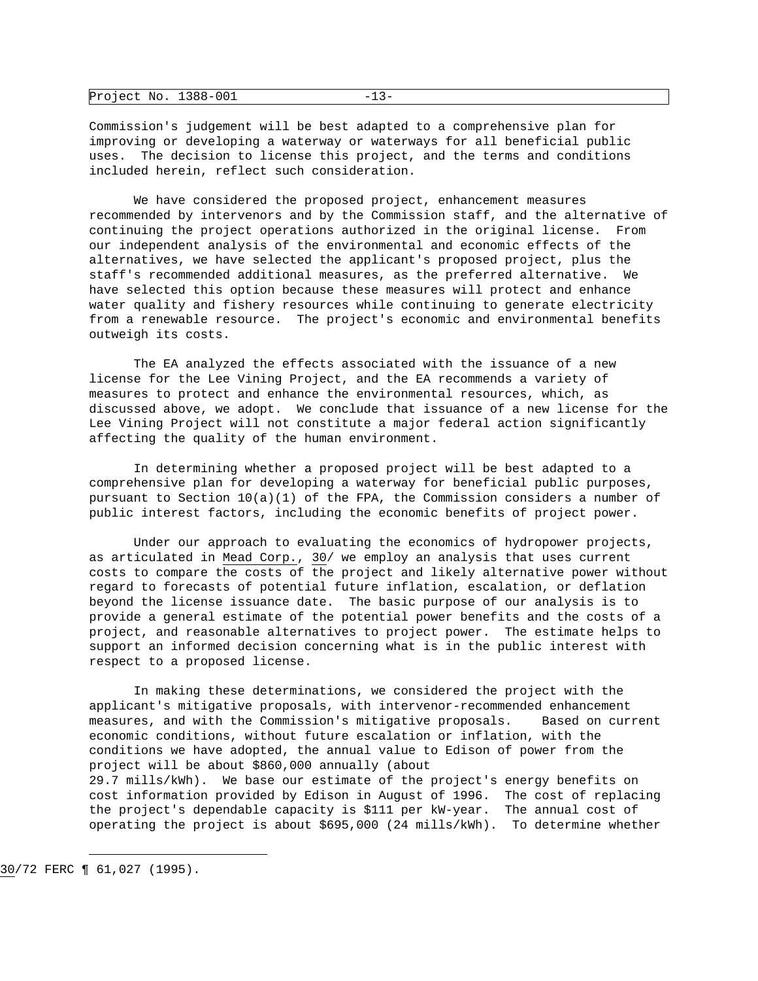| Project No. 1388-001 |  |  |
|----------------------|--|--|
|----------------------|--|--|

Commission's judgement will be best adapted to a comprehensive plan for improving or developing a waterway or waterways for all beneficial public uses. The decision to license this project, and the terms and conditions included herein, reflect such consideration.

 We have considered the proposed project, enhancement measures recommended by intervenors and by the Commission staff, and the alternative of continuing the project operations authorized in the original license. From our independent analysis of the environmental and economic effects of the alternatives, we have selected the applicant's proposed project, plus the staff's recommended additional measures, as the preferred alternative. We have selected this option because these measures will protect and enhance water quality and fishery resources while continuing to generate electricity from a renewable resource. The project's economic and environmental benefits outweigh its costs.

 The EA analyzed the effects associated with the issuance of a new license for the Lee Vining Project, and the EA recommends a variety of measures to protect and enhance the environmental resources, which, as discussed above, we adopt. We conclude that issuance of a new license for the Lee Vining Project will not constitute a major federal action significantly affecting the quality of the human environment.

 In determining whether a proposed project will be best adapted to a comprehensive plan for developing a waterway for beneficial public purposes, pursuant to Section  $10(a)(1)$  of the FPA, the Commission considers a number of public interest factors, including the economic benefits of project power.

 Under our approach to evaluating the economics of hydropower projects, as articulated in Mead Corp., 30/ we employ an analysis that uses current costs to compare the costs of the project and likely alternative power without regard to forecasts of potential future inflation, escalation, or deflation beyond the license issuance date. The basic purpose of our analysis is to provide a general estimate of the potential power benefits and the costs of a project, and reasonable alternatives to project power. The estimate helps to support an informed decision concerning what is in the public interest with respect to a proposed license.

 In making these determinations, we considered the project with the applicant's mitigative proposals, with intervenor-recommended enhancement measures, and with the Commission's mitigative proposals. Based on current economic conditions, without future escalation or inflation, with the conditions we have adopted, the annual value to Edison of power from the project will be about \$860,000 annually (about 29.7 mills/kWh). We base our estimate of the project's energy benefits on cost information provided by Edison in August of 1996. The cost of replacing the project's dependable capacity is \$111 per kW-year. The annual cost of operating the project is about \$695,000 (24 mills/kWh). To determine whether

i 30/72 FERC ¶ 61,027 (1995).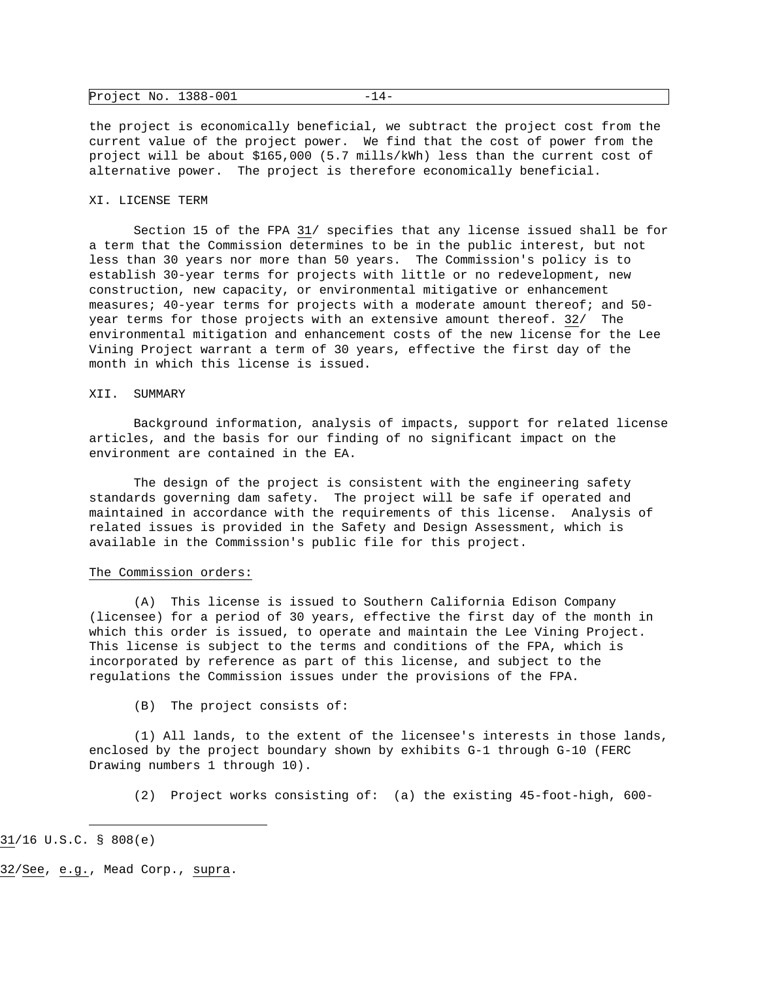| Project No. $1388-001$ | $-14-$ |
|------------------------|--------|
|------------------------|--------|

the project is economically beneficial, we subtract the project cost from the current value of the project power. We find that the cost of power from the project will be about \$165,000 (5.7 mills/kWh) less than the current cost of alternative power. The project is therefore economically beneficial.

### XI. LICENSE TERM

 Section 15 of the FPA 31/ specifies that any license issued shall be for a term that the Commission determines to be in the public interest, but not less than 30 years nor more than 50 years. The Commission's policy is to establish 30-year terms for projects with little or no redevelopment, new construction, new capacity, or environmental mitigative or enhancement measures; 40-year terms for projects with a moderate amount thereof; and 50 year terms for those projects with an extensive amount thereof. 32/ The environmental mitigation and enhancement costs of the new license for the Lee Vining Project warrant a term of 30 years, effective the first day of the month in which this license is issued.

### XII. SUMMARY

 Background information, analysis of impacts, support for related license articles, and the basis for our finding of no significant impact on the environment are contained in the EA.

 The design of the project is consistent with the engineering safety standards governing dam safety. The project will be safe if operated and maintained in accordance with the requirements of this license. Analysis of related issues is provided in the Safety and Design Assessment, which is available in the Commission's public file for this project.

### The Commission orders:

 (A) This license is issued to Southern California Edison Company (licensee) for a period of 30 years, effective the first day of the month in which this order is issued, to operate and maintain the Lee Vining Project. This license is subject to the terms and conditions of the FPA, which is incorporated by reference as part of this license, and subject to the regulations the Commission issues under the provisions of the FPA.

(B) The project consists of:

 (1) All lands, to the extent of the licensee's interests in those lands, enclosed by the project boundary shown by exhibits G-1 through G-10 (FERC Drawing numbers 1 through 10).

(2) Project works consisting of: (a) the existing 45-foot-high, 600-

31/16 U.S.C. § 808(e)

i

32/See, e.g., Mead Corp., supra.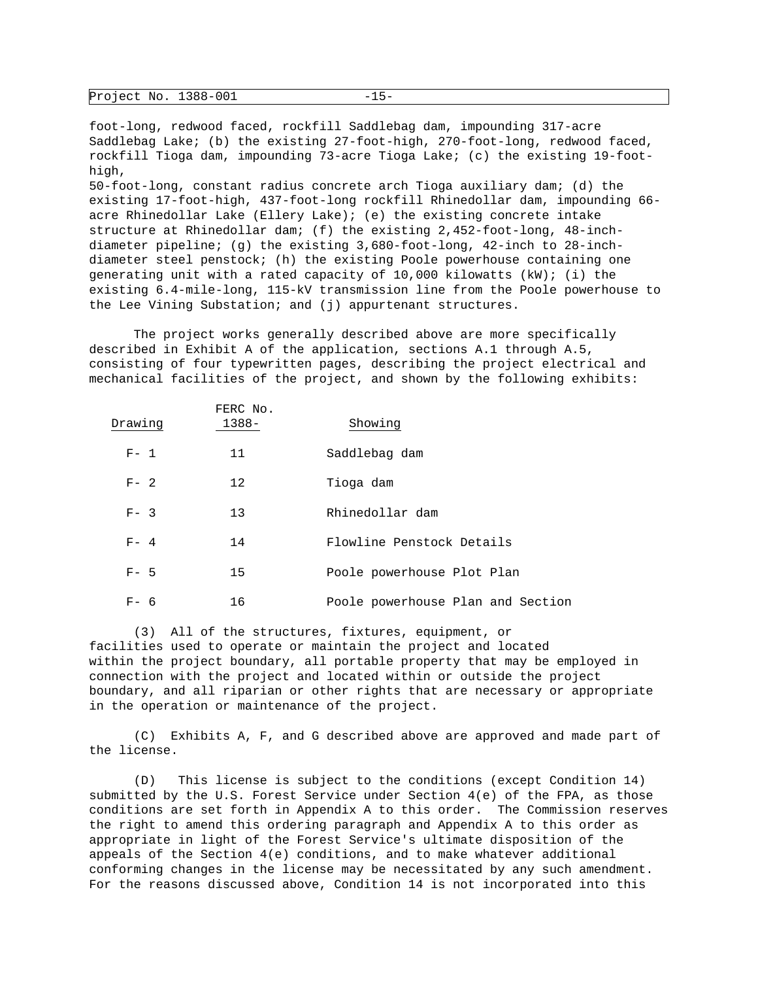| Project No. 1388-001 |  |  |
|----------------------|--|--|
|----------------------|--|--|

foot-long, redwood faced, rockfill Saddlebag dam, impounding 317-acre Saddlebag Lake; (b) the existing 27-foot-high, 270-foot-long, redwood faced, rockfill Tioga dam, impounding 73-acre Tioga Lake; (c) the existing 19-foothigh, 50-foot-long, constant radius concrete arch Tioga auxiliary dam; (d) the existing 17-foot-high, 437-foot-long rockfill Rhinedollar dam, impounding 66 acre Rhinedollar Lake (Ellery Lake); (e) the existing concrete intake structure at Rhinedollar dam; (f) the existing 2,452-foot-long, 48-inchdiameter pipeline; (g) the existing 3,680-foot-long, 42-inch to 28-inchdiameter steel penstock; (h) the existing Poole powerhouse containing one generating unit with a rated capacity of  $10,000$  kilowatts (kW); (i) the existing 6.4-mile-long, 115-kV transmission line from the Poole powerhouse to the Lee Vining Substation; and (j) appurtenant structures.

 The project works generally described above are more specifically described in Exhibit A of the application, sections A.1 through A.5, consisting of four typewritten pages, describing the project electrical and mechanical facilities of the project, and shown by the following exhibits:

| Drawing | FERC No.<br>$1388 -$ | Showing                           |
|---------|----------------------|-----------------------------------|
|         |                      |                                   |
| $F - 1$ | 11                   | Saddlebag dam                     |
| $F - 2$ | 12                   | Tioga dam                         |
| $F - 3$ | 13                   | Rhinedollar dam                   |
| $F - 4$ | 14                   | Flowline Penstock Details         |
| $F - 5$ | 15                   | Poole powerhouse Plot Plan        |
| F-6     | 16                   | Poole powerhouse Plan and Section |

 (3) All of the structures, fixtures, equipment, or facilities used to operate or maintain the project and located within the project boundary, all portable property that may be employed in connection with the project and located within or outside the project boundary, and all riparian or other rights that are necessary or appropriate in the operation or maintenance of the project.

 (C) Exhibits A, F, and G described above are approved and made part of the license.

 (D) This license is subject to the conditions (except Condition 14) submitted by the U.S. Forest Service under Section 4(e) of the FPA, as those conditions are set forth in Appendix A to this order. The Commission reserves the right to amend this ordering paragraph and Appendix A to this order as appropriate in light of the Forest Service's ultimate disposition of the appeals of the Section 4(e) conditions, and to make whatever additional conforming changes in the license may be necessitated by any such amendment. For the reasons discussed above, Condition 14 is not incorporated into this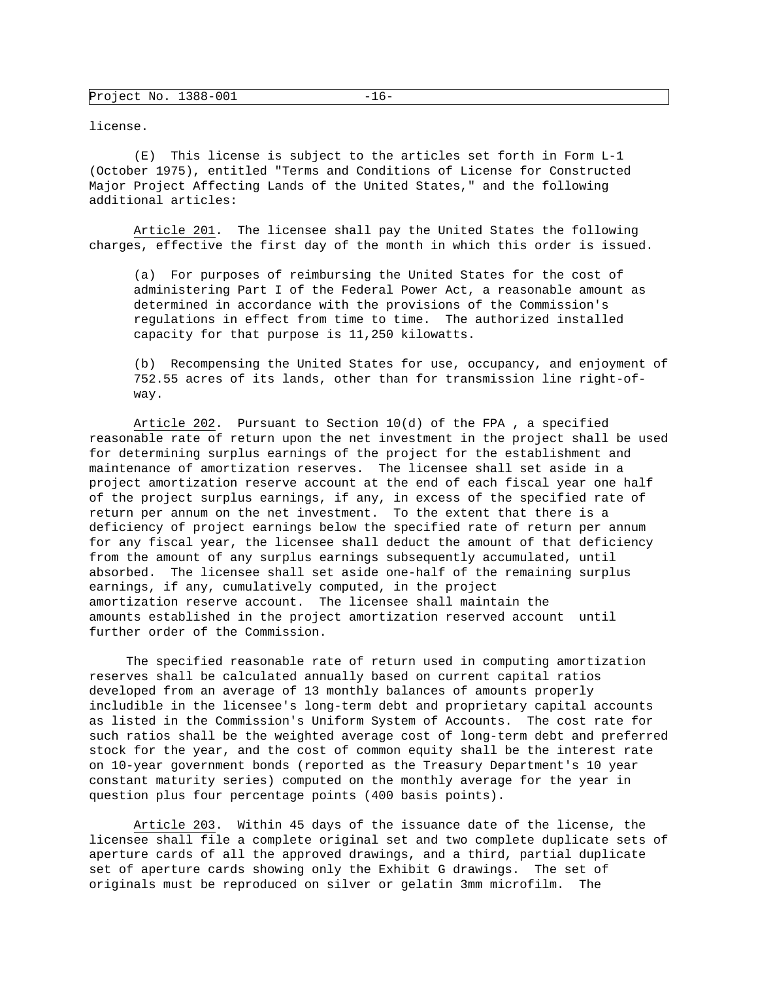license.

 (E) This license is subject to the articles set forth in Form L-1 (October 1975), entitled "Terms and Conditions of License for Constructed Major Project Affecting Lands of the United States," and the following additional articles:

 Article 201. The licensee shall pay the United States the following charges, effective the first day of the month in which this order is issued.

 (a) For purposes of reimbursing the United States for the cost of administering Part I of the Federal Power Act, a reasonable amount as determined in accordance with the provisions of the Commission's regulations in effect from time to time. The authorized installed capacity for that purpose is 11,250 kilowatts.

 (b) Recompensing the United States for use, occupancy, and enjoyment of 752.55 acres of its lands, other than for transmission line right-ofway.

 Article 202. Pursuant to Section 10(d) of the FPA , a specified reasonable rate of return upon the net investment in the project shall be used for determining surplus earnings of the project for the establishment and maintenance of amortization reserves. The licensee shall set aside in a project amortization reserve account at the end of each fiscal year one half of the project surplus earnings, if any, in excess of the specified rate of return per annum on the net investment. To the extent that there is a deficiency of project earnings below the specified rate of return per annum for any fiscal year, the licensee shall deduct the amount of that deficiency from the amount of any surplus earnings subsequently accumulated, until absorbed. The licensee shall set aside one-half of the remaining surplus earnings, if any, cumulatively computed, in the project amortization reserve account. The licensee shall maintain the amounts established in the project amortization reserved account until further order of the Commission.

 The specified reasonable rate of return used in computing amortization reserves shall be calculated annually based on current capital ratios developed from an average of 13 monthly balances of amounts properly includible in the licensee's long-term debt and proprietary capital accounts as listed in the Commission's Uniform System of Accounts. The cost rate for such ratios shall be the weighted average cost of long-term debt and preferred stock for the year, and the cost of common equity shall be the interest rate on 10-year government bonds (reported as the Treasury Department's 10 year constant maturity series) computed on the monthly average for the year in question plus four percentage points (400 basis points).

 Article 203. Within 45 days of the issuance date of the license, the licensee shall file a complete original set and two complete duplicate sets of aperture cards of all the approved drawings, and a third, partial duplicate set of aperture cards showing only the Exhibit G drawings. The set of originals must be reproduced on silver or gelatin 3mm microfilm. The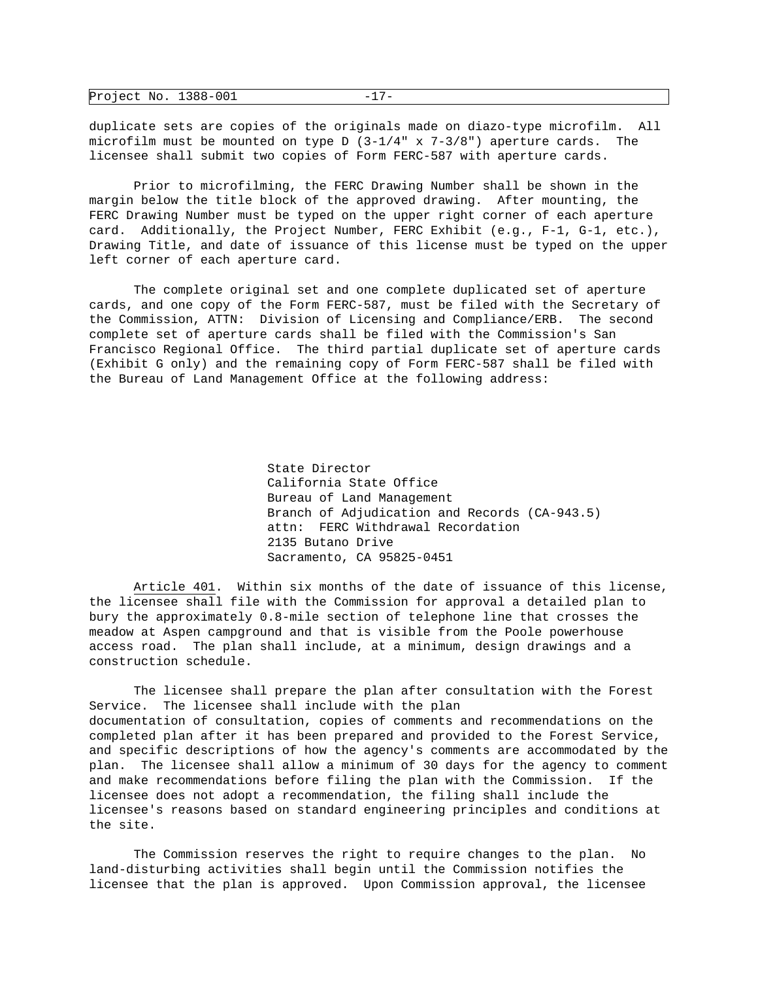| Project No. 1388-001 |  |
|----------------------|--|
|                      |  |

duplicate sets are copies of the originals made on diazo-type microfilm. All microfilm must be mounted on type  $D(3-1/4" x 7-3/8")$  aperture cards. The licensee shall submit two copies of Form FERC-587 with aperture cards.

 Prior to microfilming, the FERC Drawing Number shall be shown in the margin below the title block of the approved drawing. After mounting, the FERC Drawing Number must be typed on the upper right corner of each aperture card. Additionally, the Project Number, FERC Exhibit (e.g., F-1, G-1, etc.), Drawing Title, and date of issuance of this license must be typed on the upper left corner of each aperture card.

 The complete original set and one complete duplicated set of aperture cards, and one copy of the Form FERC-587, must be filed with the Secretary of the Commission, ATTN: Division of Licensing and Compliance/ERB. The second complete set of aperture cards shall be filed with the Commission's San Francisco Regional Office. The third partial duplicate set of aperture cards (Exhibit G only) and the remaining copy of Form FERC-587 shall be filed with the Bureau of Land Management Office at the following address:

> State Director California State Office Bureau of Land Management Branch of Adjudication and Records (CA-943.5) attn: FERC Withdrawal Recordation 2135 Butano Drive Sacramento, CA 95825-0451

 Article 401. Within six months of the date of issuance of this license, the licensee shall file with the Commission for approval a detailed plan to bury the approximately 0.8-mile section of telephone line that crosses the meadow at Aspen campground and that is visible from the Poole powerhouse access road. The plan shall include, at a minimum, design drawings and a construction schedule.

 The licensee shall prepare the plan after consultation with the Forest Service. The licensee shall include with the plan documentation of consultation, copies of comments and recommendations on the completed plan after it has been prepared and provided to the Forest Service, and specific descriptions of how the agency's comments are accommodated by the plan. The licensee shall allow a minimum of 30 days for the agency to comment and make recommendations before filing the plan with the Commission. If the licensee does not adopt a recommendation, the filing shall include the licensee's reasons based on standard engineering principles and conditions at the site.

 The Commission reserves the right to require changes to the plan. No land-disturbing activities shall begin until the Commission notifies the licensee that the plan is approved. Upon Commission approval, the licensee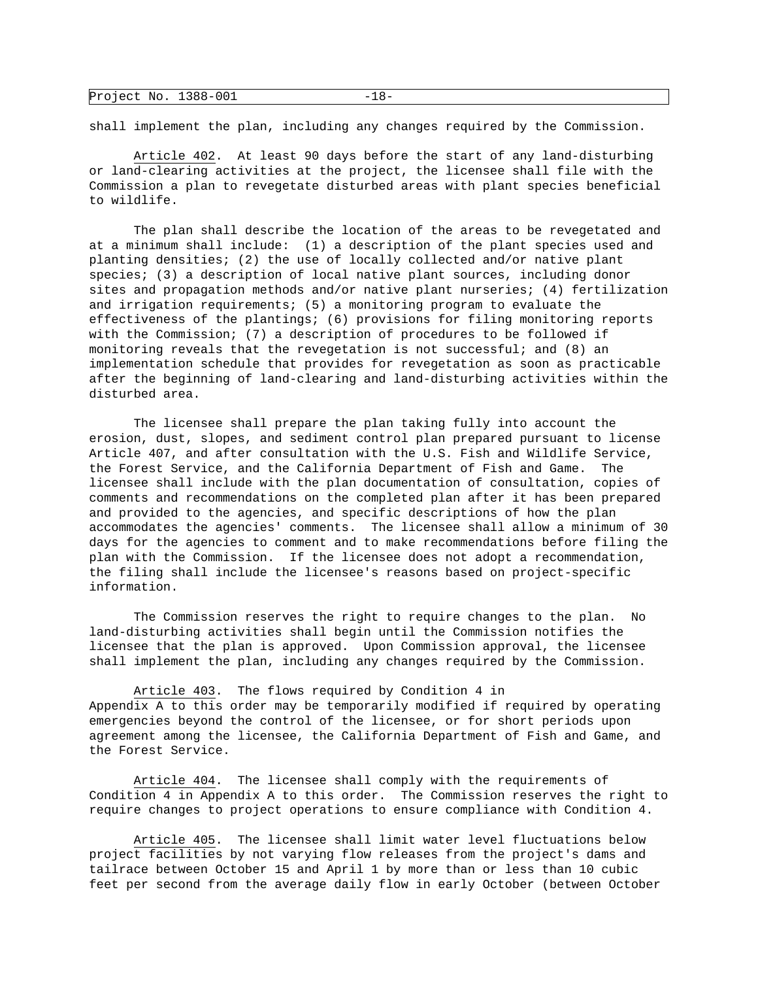| Project No. 1388-001 |  |  |
|----------------------|--|--|
|----------------------|--|--|

shall implement the plan, including any changes required by the Commission.

 Article 402. At least 90 days before the start of any land-disturbing or land-clearing activities at the project, the licensee shall file with the Commission a plan to revegetate disturbed areas with plant species beneficial to wildlife.

 The plan shall describe the location of the areas to be revegetated and at a minimum shall include: (1) a description of the plant species used and planting densities; (2) the use of locally collected and/or native plant species; (3) a description of local native plant sources, including donor sites and propagation methods and/or native plant nurseries; (4) fertilization and irrigation requirements; (5) a monitoring program to evaluate the effectiveness of the plantings; (6) provisions for filing monitoring reports with the Commission; (7) a description of procedures to be followed if monitoring reveals that the revegetation is not successful; and (8) an implementation schedule that provides for revegetation as soon as practicable after the beginning of land-clearing and land-disturbing activities within the disturbed area.

 The licensee shall prepare the plan taking fully into account the erosion, dust, slopes, and sediment control plan prepared pursuant to license Article 407, and after consultation with the U.S. Fish and Wildlife Service, the Forest Service, and the California Department of Fish and Game. The licensee shall include with the plan documentation of consultation, copies of comments and recommendations on the completed plan after it has been prepared and provided to the agencies, and specific descriptions of how the plan accommodates the agencies' comments. The licensee shall allow a minimum of 30 days for the agencies to comment and to make recommendations before filing the plan with the Commission. If the licensee does not adopt a recommendation, the filing shall include the licensee's reasons based on project-specific information.

 The Commission reserves the right to require changes to the plan. No land-disturbing activities shall begin until the Commission notifies the licensee that the plan is approved. Upon Commission approval, the licensee shall implement the plan, including any changes required by the Commission.

 Article 403. The flows required by Condition 4 in Appendix A to this order may be temporarily modified if required by operating emergencies beyond the control of the licensee, or for short periods upon agreement among the licensee, the California Department of Fish and Game, and the Forest Service.

 Article 404. The licensee shall comply with the requirements of Condition 4 in Appendix A to this order. The Commission reserves the right to require changes to project operations to ensure compliance with Condition 4.

 Article 405. The licensee shall limit water level fluctuations below project facilities by not varying flow releases from the project's dams and tailrace between October 15 and April 1 by more than or less than 10 cubic feet per second from the average daily flow in early October (between October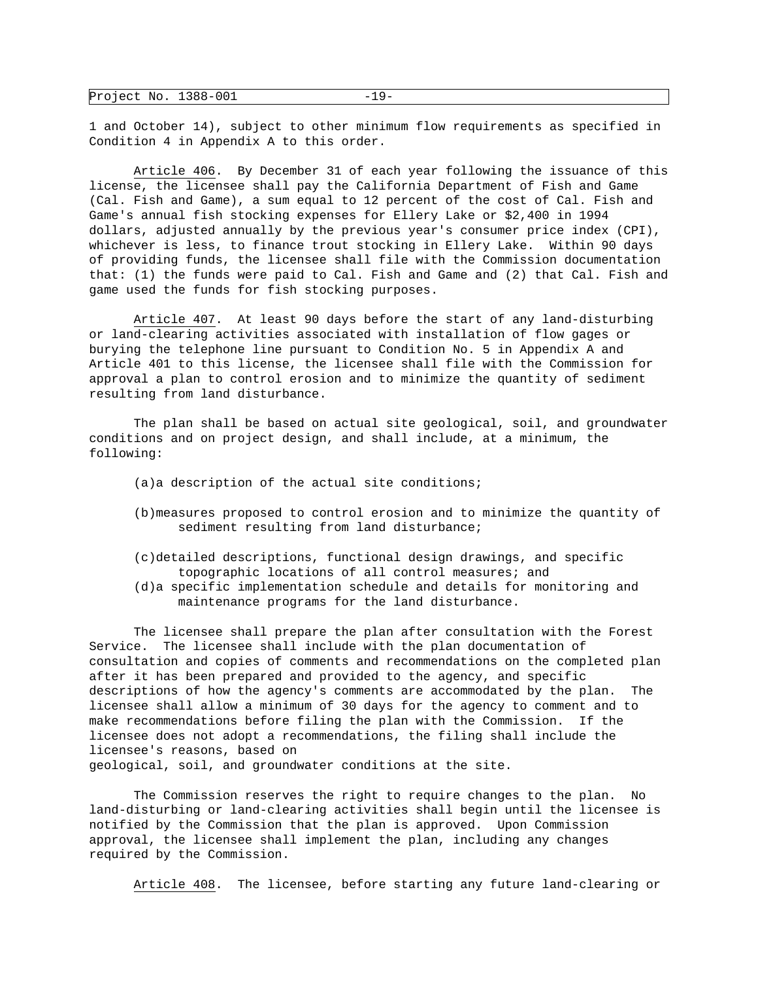| Project No. 1388-001 |  |  |
|----------------------|--|--|
|----------------------|--|--|

1 and October 14), subject to other minimum flow requirements as specified in Condition 4 in Appendix A to this order.

 Article 406. By December 31 of each year following the issuance of this license, the licensee shall pay the California Department of Fish and Game (Cal. Fish and Game), a sum equal to 12 percent of the cost of Cal. Fish and Game's annual fish stocking expenses for Ellery Lake or \$2,400 in 1994 dollars, adjusted annually by the previous year's consumer price index (CPI), whichever is less, to finance trout stocking in Ellery Lake. Within 90 days of providing funds, the licensee shall file with the Commission documentation that: (1) the funds were paid to Cal. Fish and Game and (2) that Cal. Fish and game used the funds for fish stocking purposes.

 Article 407. At least 90 days before the start of any land-disturbing or land-clearing activities associated with installation of flow gages or burying the telephone line pursuant to Condition No. 5 in Appendix A and Article 401 to this license, the licensee shall file with the Commission for approval a plan to control erosion and to minimize the quantity of sediment resulting from land disturbance.

 The plan shall be based on actual site geological, soil, and groundwater conditions and on project design, and shall include, at a minimum, the following:

- (a)a description of the actual site conditions;
- (b)measures proposed to control erosion and to minimize the quantity of sediment resulting from land disturbance;
- (c)detailed descriptions, functional design drawings, and specific topographic locations of all control measures; and
- (d)a specific implementation schedule and details for monitoring and maintenance programs for the land disturbance.

 The licensee shall prepare the plan after consultation with the Forest Service. The licensee shall include with the plan documentation of consultation and copies of comments and recommendations on the completed plan after it has been prepared and provided to the agency, and specific descriptions of how the agency's comments are accommodated by the plan. The licensee shall allow a minimum of 30 days for the agency to comment and to make recommendations before filing the plan with the Commission. If the licensee does not adopt a recommendations, the filing shall include the licensee's reasons, based on geological, soil, and groundwater conditions at the site.

 The Commission reserves the right to require changes to the plan. No land-disturbing or land-clearing activities shall begin until the licensee is notified by the Commission that the plan is approved. Upon Commission approval, the licensee shall implement the plan, including any changes required by the Commission.

Article 408. The licensee, before starting any future land-clearing or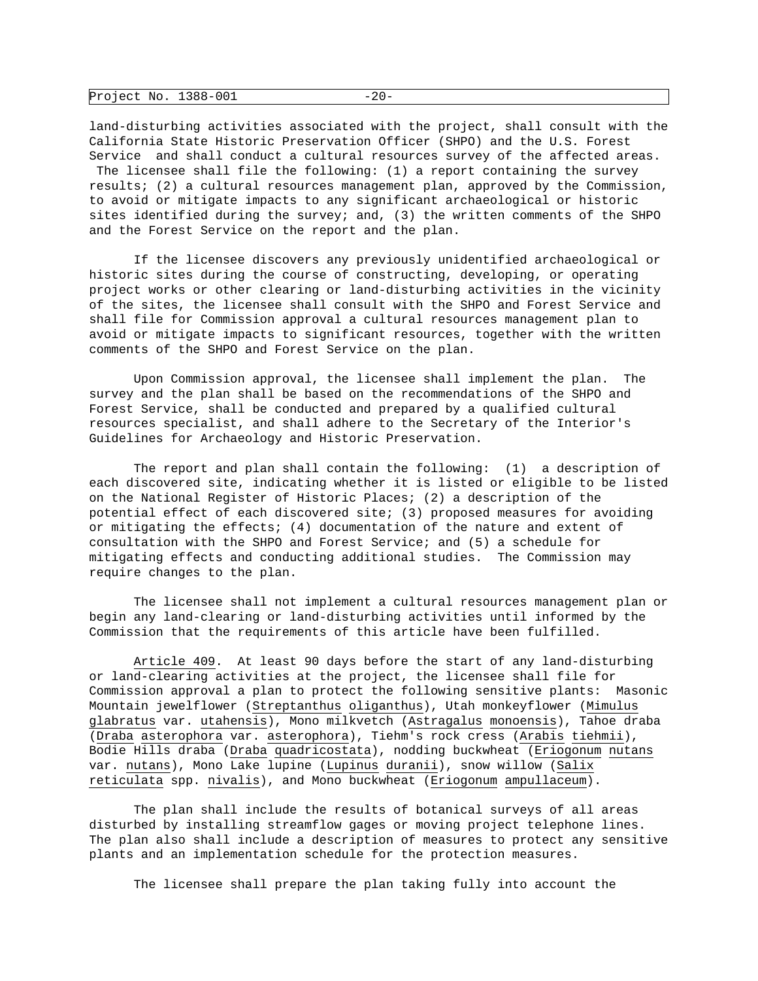| Project No. 1388-001 |  |  |
|----------------------|--|--|
|----------------------|--|--|

land-disturbing activities associated with the project, shall consult with the California State Historic Preservation Officer (SHPO) and the U.S. Forest Service and shall conduct a cultural resources survey of the affected areas. The licensee shall file the following: (1) a report containing the survey results; (2) a cultural resources management plan, approved by the Commission, to avoid or mitigate impacts to any significant archaeological or historic sites identified during the survey; and, (3) the written comments of the SHPO and the Forest Service on the report and the plan.

 If the licensee discovers any previously unidentified archaeological or historic sites during the course of constructing, developing, or operating project works or other clearing or land-disturbing activities in the vicinity of the sites, the licensee shall consult with the SHPO and Forest Service and shall file for Commission approval a cultural resources management plan to avoid or mitigate impacts to significant resources, together with the written comments of the SHPO and Forest Service on the plan.

 Upon Commission approval, the licensee shall implement the plan. The survey and the plan shall be based on the recommendations of the SHPO and Forest Service, shall be conducted and prepared by a qualified cultural resources specialist, and shall adhere to the Secretary of the Interior's Guidelines for Archaeology and Historic Preservation.

 The report and plan shall contain the following: (1) a description of each discovered site, indicating whether it is listed or eligible to be listed on the National Register of Historic Places; (2) a description of the potential effect of each discovered site; (3) proposed measures for avoiding or mitigating the effects; (4) documentation of the nature and extent of consultation with the SHPO and Forest Service; and (5) a schedule for mitigating effects and conducting additional studies. The Commission may require changes to the plan.

 The licensee shall not implement a cultural resources management plan or begin any land-clearing or land-disturbing activities until informed by the Commission that the requirements of this article have been fulfilled.

 Article 409. At least 90 days before the start of any land-disturbing or land-clearing activities at the project, the licensee shall file for Commission approval a plan to protect the following sensitive plants: Masonic Mountain jewelflower (Streptanthus oliganthus), Utah monkeyflower (Mimulus glabratus var. utahensis), Mono milkvetch (Astragalus monoensis), Tahoe draba (Draba asterophora var. asterophora), Tiehm's rock cress (Arabis tiehmii), Bodie Hills draba (Draba quadricostata), nodding buckwheat (Eriogonum nutans var. nutans), Mono Lake lupine (Lupinus duranii), snow willow (Salix reticulata spp. nivalis), and Mono buckwheat (Eriogonum ampullaceum).

 The plan shall include the results of botanical surveys of all areas disturbed by installing streamflow gages or moving project telephone lines. The plan also shall include a description of measures to protect any sensitive plants and an implementation schedule for the protection measures.

The licensee shall prepare the plan taking fully into account the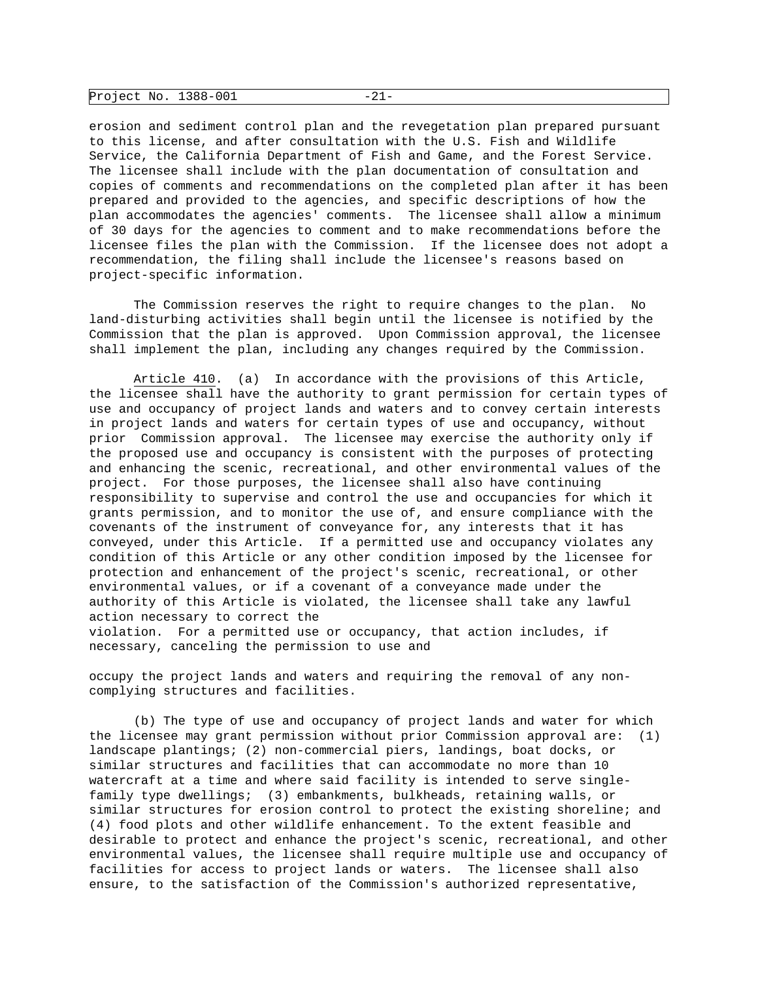| Project No. 1388-001 |  |  |
|----------------------|--|--|
|----------------------|--|--|

erosion and sediment control plan and the revegetation plan prepared pursuant to this license, and after consultation with the U.S. Fish and Wildlife Service, the California Department of Fish and Game, and the Forest Service. The licensee shall include with the plan documentation of consultation and copies of comments and recommendations on the completed plan after it has been prepared and provided to the agencies, and specific descriptions of how the plan accommodates the agencies' comments. The licensee shall allow a minimum of 30 days for the agencies to comment and to make recommendations before the licensee files the plan with the Commission. If the licensee does not adopt a recommendation, the filing shall include the licensee's reasons based on project-specific information.

 The Commission reserves the right to require changes to the plan. No land-disturbing activities shall begin until the licensee is notified by the Commission that the plan is approved. Upon Commission approval, the licensee shall implement the plan, including any changes required by the Commission.

 Article 410. (a) In accordance with the provisions of this Article, the licensee shall have the authority to grant permission for certain types of use and occupancy of project lands and waters and to convey certain interests in project lands and waters for certain types of use and occupancy, without prior Commission approval. The licensee may exercise the authority only if the proposed use and occupancy is consistent with the purposes of protecting and enhancing the scenic, recreational, and other environmental values of the project. For those purposes, the licensee shall also have continuing responsibility to supervise and control the use and occupancies for which it grants permission, and to monitor the use of, and ensure compliance with the covenants of the instrument of conveyance for, any interests that it has conveyed, under this Article. If a permitted use and occupancy violates any condition of this Article or any other condition imposed by the licensee for protection and enhancement of the project's scenic, recreational, or other environmental values, or if a covenant of a conveyance made under the authority of this Article is violated, the licensee shall take any lawful action necessary to correct the violation. For a permitted use or occupancy, that action includes, if necessary, canceling the permission to use and

occupy the project lands and waters and requiring the removal of any noncomplying structures and facilities.

 (b) The type of use and occupancy of project lands and water for which the licensee may grant permission without prior Commission approval are: (1) landscape plantings; (2) non-commercial piers, landings, boat docks, or similar structures and facilities that can accommodate no more than 10 watercraft at a time and where said facility is intended to serve singlefamily type dwellings; (3) embankments, bulkheads, retaining walls, or similar structures for erosion control to protect the existing shoreline; and (4) food plots and other wildlife enhancement. To the extent feasible and desirable to protect and enhance the project's scenic, recreational, and other environmental values, the licensee shall require multiple use and occupancy of facilities for access to project lands or waters. The licensee shall also ensure, to the satisfaction of the Commission's authorized representative,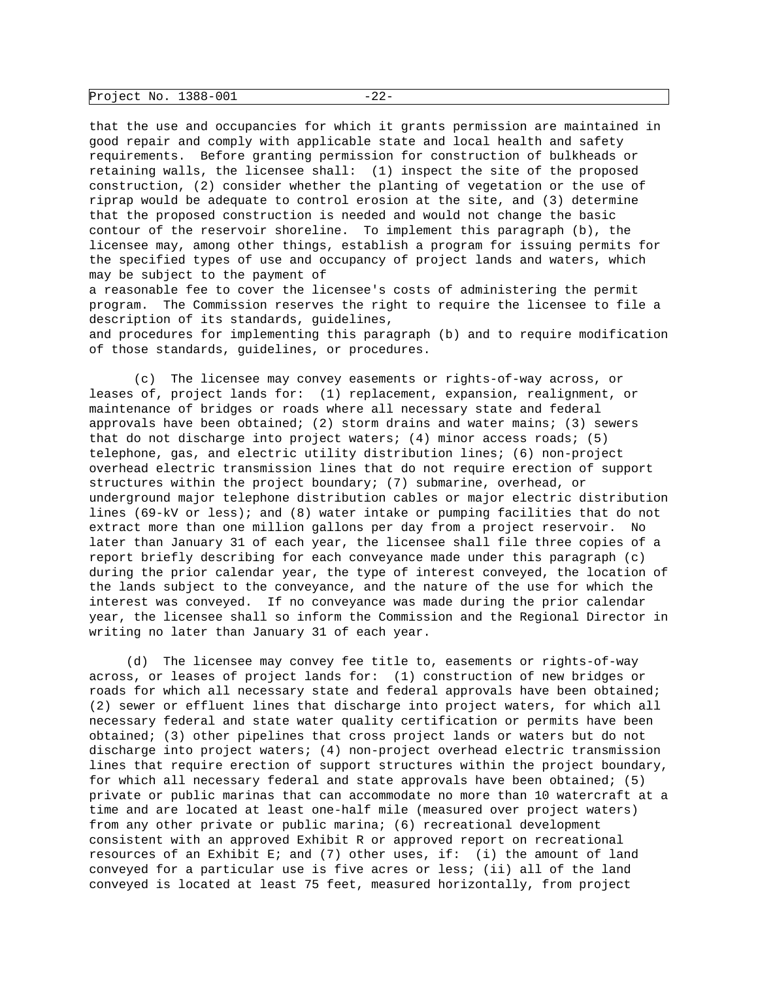| Project No. 1388-001 |  |  |
|----------------------|--|--|
|----------------------|--|--|

that the use and occupancies for which it grants permission are maintained in good repair and comply with applicable state and local health and safety requirements. Before granting permission for construction of bulkheads or retaining walls, the licensee shall: (1) inspect the site of the proposed construction, (2) consider whether the planting of vegetation or the use of riprap would be adequate to control erosion at the site, and (3) determine that the proposed construction is needed and would not change the basic contour of the reservoir shoreline. To implement this paragraph (b), the licensee may, among other things, establish a program for issuing permits for the specified types of use and occupancy of project lands and waters, which may be subject to the payment of

a reasonable fee to cover the licensee's costs of administering the permit program. The Commission reserves the right to require the licensee to file a description of its standards, guidelines,

and procedures for implementing this paragraph (b) and to require modification of those standards, guidelines, or procedures.

 (c) The licensee may convey easements or rights-of-way across, or leases of, project lands for: (1) replacement, expansion, realignment, or maintenance of bridges or roads where all necessary state and federal approvals have been obtained; (2) storm drains and water mains; (3) sewers that do not discharge into project waters;  $(4)$  minor access roads;  $(5)$ telephone, gas, and electric utility distribution lines; (6) non-project overhead electric transmission lines that do not require erection of support structures within the project boundary; (7) submarine, overhead, or underground major telephone distribution cables or major electric distribution lines (69-kV or less); and (8) water intake or pumping facilities that do not extract more than one million gallons per day from a project reservoir. No later than January 31 of each year, the licensee shall file three copies of a report briefly describing for each conveyance made under this paragraph (c) during the prior calendar year, the type of interest conveyed, the location of the lands subject to the conveyance, and the nature of the use for which the interest was conveyed. If no conveyance was made during the prior calendar year, the licensee shall so inform the Commission and the Regional Director in writing no later than January 31 of each year.

 (d) The licensee may convey fee title to, easements or rights-of-way across, or leases of project lands for: (1) construction of new bridges or roads for which all necessary state and federal approvals have been obtained; (2) sewer or effluent lines that discharge into project waters, for which all necessary federal and state water quality certification or permits have been obtained; (3) other pipelines that cross project lands or waters but do not discharge into project waters; (4) non-project overhead electric transmission lines that require erection of support structures within the project boundary, for which all necessary federal and state approvals have been obtained; (5) private or public marinas that can accommodate no more than 10 watercraft at a time and are located at least one-half mile (measured over project waters) from any other private or public marina; (6) recreational development consistent with an approved Exhibit R or approved report on recreational resources of an Exhibit E; and (7) other uses, if: (i) the amount of land conveyed for a particular use is five acres or less; (ii) all of the land conveyed is located at least 75 feet, measured horizontally, from project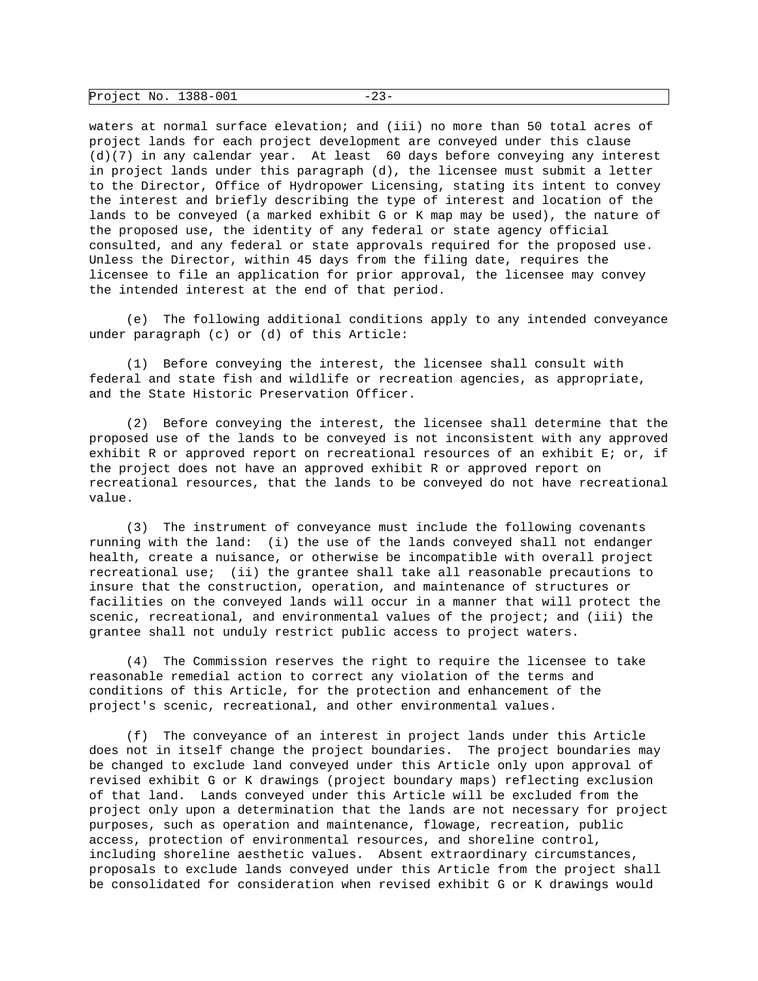| Project No. 1388-001 |  |  |
|----------------------|--|--|
|----------------------|--|--|

waters at normal surface elevation; and (iii) no more than 50 total acres of project lands for each project development are conveyed under this clause (d)(7) in any calendar year. At least 60 days before conveying any interest in project lands under this paragraph (d), the licensee must submit a letter to the Director, Office of Hydropower Licensing, stating its intent to convey the interest and briefly describing the type of interest and location of the lands to be conveyed (a marked exhibit G or K map may be used), the nature of the proposed use, the identity of any federal or state agency official consulted, and any federal or state approvals required for the proposed use. Unless the Director, within 45 days from the filing date, requires the licensee to file an application for prior approval, the licensee may convey the intended interest at the end of that period.

 (e) The following additional conditions apply to any intended conveyance under paragraph (c) or (d) of this Article:

 (1) Before conveying the interest, the licensee shall consult with federal and state fish and wildlife or recreation agencies, as appropriate, and the State Historic Preservation Officer.

 (2) Before conveying the interest, the licensee shall determine that the proposed use of the lands to be conveyed is not inconsistent with any approved exhibit R or approved report on recreational resources of an exhibit E; or, if the project does not have an approved exhibit R or approved report on recreational resources, that the lands to be conveyed do not have recreational value.

 (3) The instrument of conveyance must include the following covenants running with the land: (i) the use of the lands conveyed shall not endanger health, create a nuisance, or otherwise be incompatible with overall project recreational use; (ii) the grantee shall take all reasonable precautions to insure that the construction, operation, and maintenance of structures or facilities on the conveyed lands will occur in a manner that will protect the scenic, recreational, and environmental values of the project; and (iii) the grantee shall not unduly restrict public access to project waters.

 (4) The Commission reserves the right to require the licensee to take reasonable remedial action to correct any violation of the terms and conditions of this Article, for the protection and enhancement of the project's scenic, recreational, and other environmental values.

 (f) The conveyance of an interest in project lands under this Article does not in itself change the project boundaries. The project boundaries may be changed to exclude land conveyed under this Article only upon approval of revised exhibit G or K drawings (project boundary maps) reflecting exclusion of that land. Lands conveyed under this Article will be excluded from the project only upon a determination that the lands are not necessary for project purposes, such as operation and maintenance, flowage, recreation, public access, protection of environmental resources, and shoreline control, including shoreline aesthetic values. Absent extraordinary circumstances, proposals to exclude lands conveyed under this Article from the project shall be consolidated for consideration when revised exhibit G or K drawings would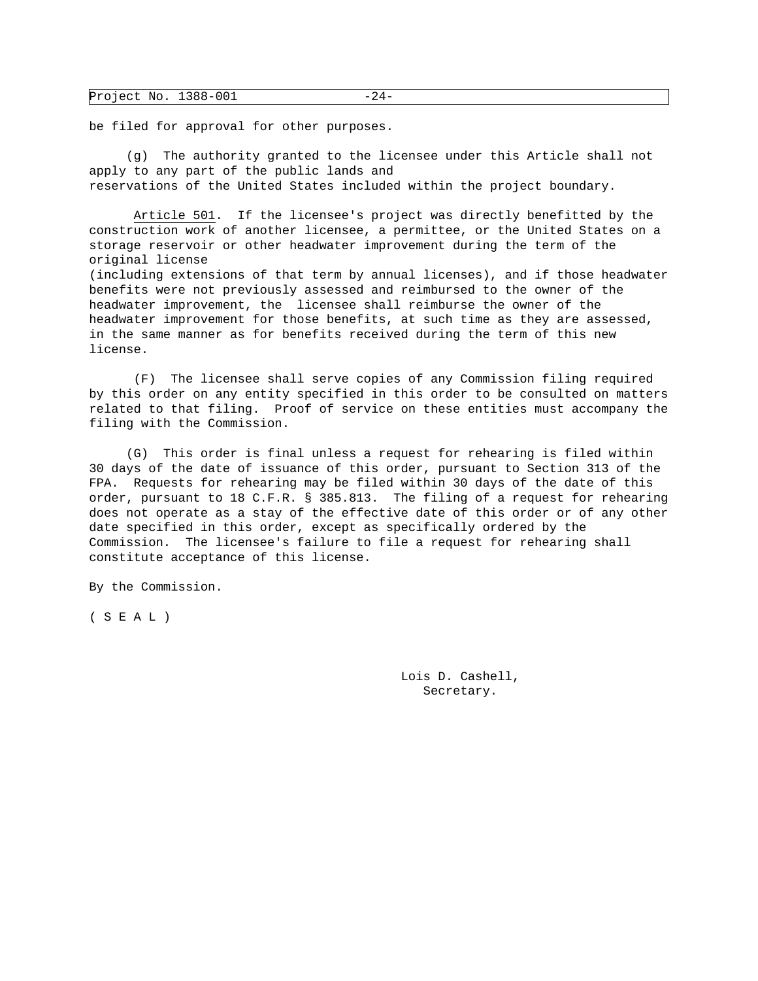| Project No. 1388-001 | -ソ4 - |  |
|----------------------|-------|--|
|----------------------|-------|--|

be filed for approval for other purposes.

 (g) The authority granted to the licensee under this Article shall not apply to any part of the public lands and reservations of the United States included within the project boundary.

 Article 501. If the licensee's project was directly benefitted by the construction work of another licensee, a permittee, or the United States on a storage reservoir or other headwater improvement during the term of the original license (including extensions of that term by annual licenses), and if those headwater benefits were not previously assessed and reimbursed to the owner of the headwater improvement, the licensee shall reimburse the owner of the headwater improvement for those benefits, at such time as they are assessed, in the same manner as for benefits received during the term of this new license.

 (F) The licensee shall serve copies of any Commission filing required by this order on any entity specified in this order to be consulted on matters related to that filing. Proof of service on these entities must accompany the filing with the Commission.

 (G) This order is final unless a request for rehearing is filed within 30 days of the date of issuance of this order, pursuant to Section 313 of the FPA. Requests for rehearing may be filed within 30 days of the date of this order, pursuant to 18 C.F.R. § 385.813. The filing of a request for rehearing does not operate as a stay of the effective date of this order or of any other date specified in this order, except as specifically ordered by the Commission. The licensee's failure to file a request for rehearing shall constitute acceptance of this license.

By the Commission.

( S E A L )

 Lois D. Cashell, Secretary.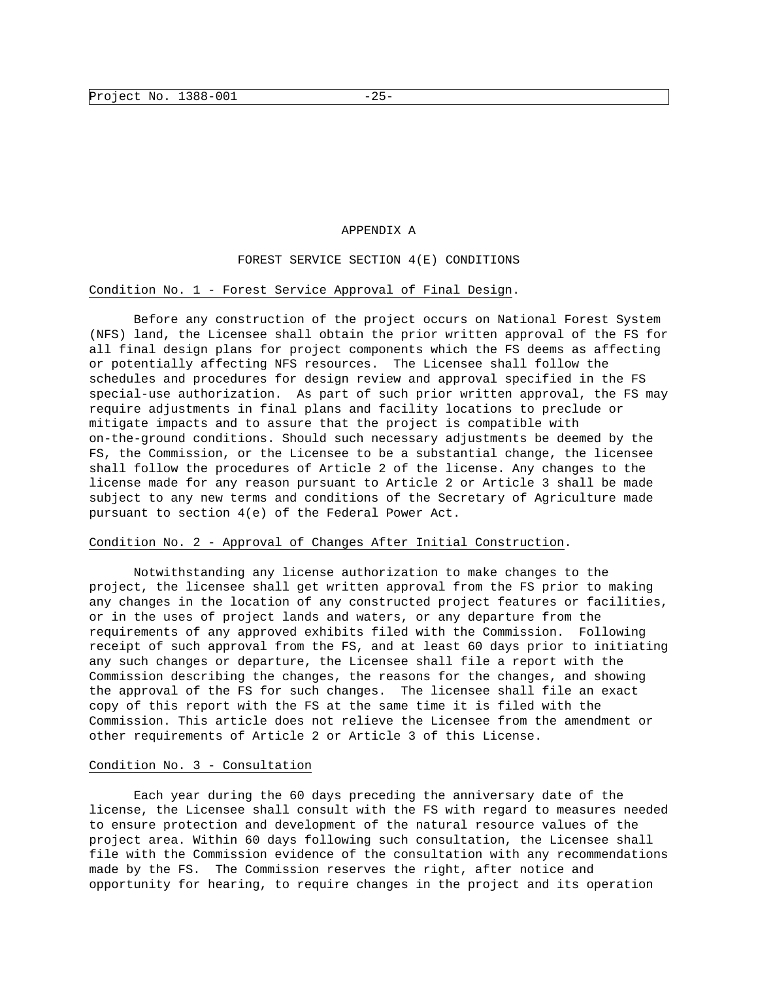### APPENDIX A

### FOREST SERVICE SECTION 4(E) CONDITIONS

#### Condition No. 1 - Forest Service Approval of Final Design.

 Before any construction of the project occurs on National Forest System (NFS) land, the Licensee shall obtain the prior written approval of the FS for all final design plans for project components which the FS deems as affecting or potentially affecting NFS resources. The Licensee shall follow the schedules and procedures for design review and approval specified in the FS special-use authorization. As part of such prior written approval, the FS may require adjustments in final plans and facility locations to preclude or mitigate impacts and to assure that the project is compatible with on-the-ground conditions. Should such necessary adjustments be deemed by the FS, the Commission, or the Licensee to be a substantial change, the licensee shall follow the procedures of Article 2 of the license. Any changes to the license made for any reason pursuant to Article 2 or Article 3 shall be made subject to any new terms and conditions of the Secretary of Agriculture made pursuant to section 4(e) of the Federal Power Act.

### Condition No. 2 - Approval of Changes After Initial Construction.

 Notwithstanding any license authorization to make changes to the project, the licensee shall get written approval from the FS prior to making any changes in the location of any constructed project features or facilities, or in the uses of project lands and waters, or any departure from the requirements of any approved exhibits filed with the Commission. Following receipt of such approval from the FS, and at least 60 days prior to initiating any such changes or departure, the Licensee shall file a report with the Commission describing the changes, the reasons for the changes, and showing the approval of the FS for such changes. The licensee shall file an exact copy of this report with the FS at the same time it is filed with the Commission. This article does not relieve the Licensee from the amendment or other requirements of Article 2 or Article 3 of this License.

### Condition No. 3 - Consultation

 Each year during the 60 days preceding the anniversary date of the license, the Licensee shall consult with the FS with regard to measures needed to ensure protection and development of the natural resource values of the project area. Within 60 days following such consultation, the Licensee shall file with the Commission evidence of the consultation with any recommendations made by the FS. The Commission reserves the right, after notice and opportunity for hearing, to require changes in the project and its operation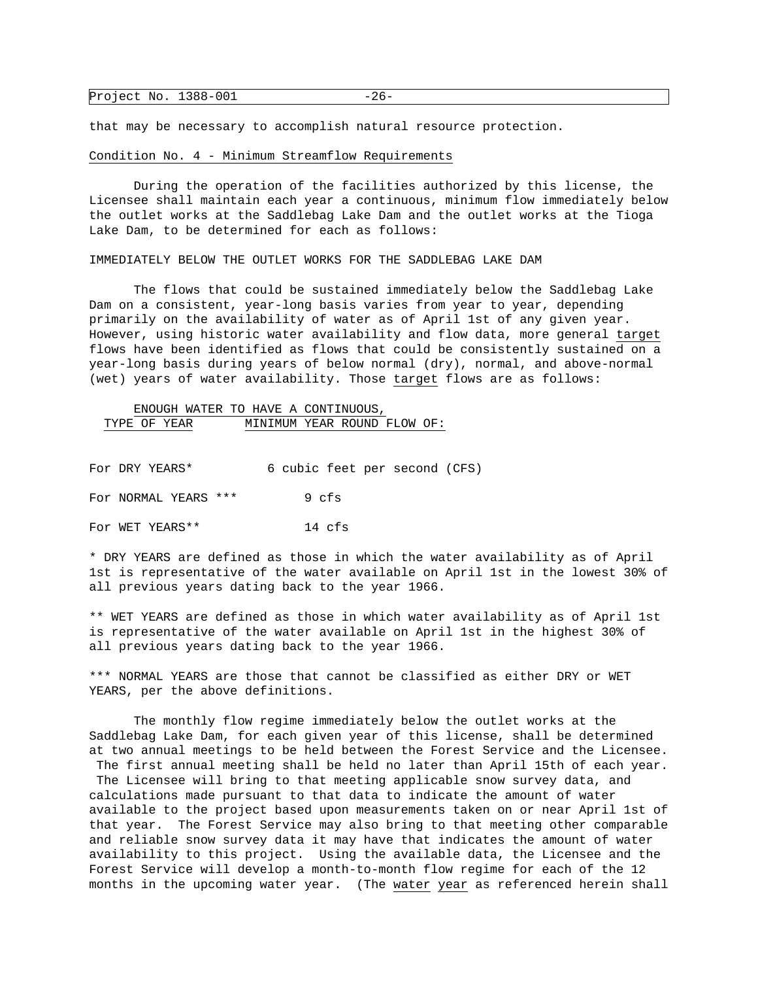| Project No. 1388-001 | 2 L |  |
|----------------------|-----|--|
|----------------------|-----|--|

that may be necessary to accomplish natural resource protection.

#### Condition No. 4 - Minimum Streamflow Requirements

 During the operation of the facilities authorized by this license, the Licensee shall maintain each year a continuous, minimum flow immediately below the outlet works at the Saddlebag Lake Dam and the outlet works at the Tioga Lake Dam, to be determined for each as follows:

IMMEDIATELY BELOW THE OUTLET WORKS FOR THE SADDLEBAG LAKE DAM

 The flows that could be sustained immediately below the Saddlebag Lake Dam on a consistent, year-long basis varies from year to year, depending primarily on the availability of water as of April 1st of any given year. However, using historic water availability and flow data, more general target flows have been identified as flows that could be consistently sustained on a year-long basis during years of below normal (dry), normal, and above-normal (wet) years of water availability. Those target flows are as follows:

# ENOUGH WATER TO HAVE A CONTINUOUS, TYPE OF YEAR MINIMUM YEAR ROUND FLOW OF:

| For DRY YEARS* |                      |  |       | 6 cubic feet per second (CFS) |  |
|----------------|----------------------|--|-------|-------------------------------|--|
|                | For NORMAL YEARS *** |  | 9 cfs |                               |  |

For WET YEARS\*\* 14 cfs

\* DRY YEARS are defined as those in which the water availability as of April 1st is representative of the water available on April 1st in the lowest 30% of all previous years dating back to the year 1966.

\*\* WET YEARS are defined as those in which water availability as of April 1st is representative of the water available on April 1st in the highest 30% of all previous years dating back to the year 1966.

\*\*\* NORMAL YEARS are those that cannot be classified as either DRY or WET YEARS, per the above definitions.

 The monthly flow regime immediately below the outlet works at the Saddlebag Lake Dam, for each given year of this license, shall be determined at two annual meetings to be held between the Forest Service and the Licensee. The first annual meeting shall be held no later than April 15th of each year. The Licensee will bring to that meeting applicable snow survey data, and calculations made pursuant to that data to indicate the amount of water available to the project based upon measurements taken on or near April 1st of that year. The Forest Service may also bring to that meeting other comparable and reliable snow survey data it may have that indicates the amount of water availability to this project. Using the available data, the Licensee and the Forest Service will develop a month-to-month flow regime for each of the 12 months in the upcoming water year. (The water year as referenced herein shall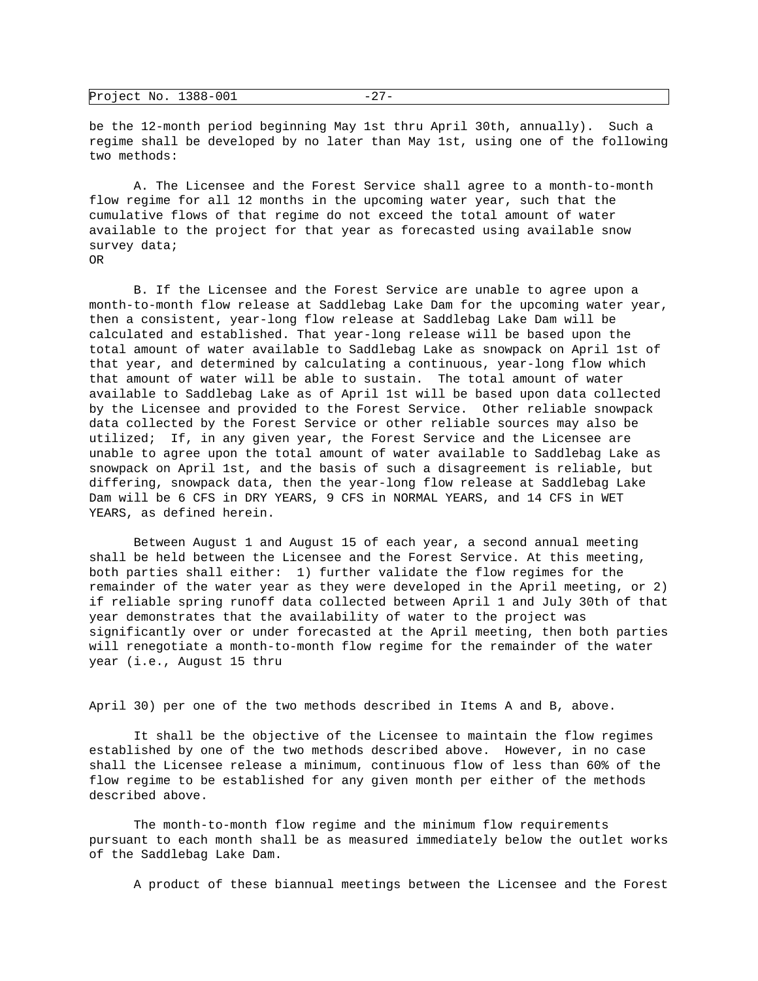| Project No. 1388-001 |  |  |
|----------------------|--|--|
|----------------------|--|--|

be the 12-month period beginning May 1st thru April 30th, annually). Such a regime shall be developed by no later than May 1st, using one of the following two methods:

 A. The Licensee and the Forest Service shall agree to a month-to-month flow regime for all 12 months in the upcoming water year, such that the cumulative flows of that regime do not exceed the total amount of water available to the project for that year as forecasted using available snow survey data; OR

 B. If the Licensee and the Forest Service are unable to agree upon a month-to-month flow release at Saddlebag Lake Dam for the upcoming water year, then a consistent, year-long flow release at Saddlebag Lake Dam will be calculated and established. That year-long release will be based upon the total amount of water available to Saddlebag Lake as snowpack on April 1st of that year, and determined by calculating a continuous, year-long flow which that amount of water will be able to sustain. The total amount of water available to Saddlebag Lake as of April 1st will be based upon data collected by the Licensee and provided to the Forest Service. Other reliable snowpack data collected by the Forest Service or other reliable sources may also be utilized; If, in any given year, the Forest Service and the Licensee are unable to agree upon the total amount of water available to Saddlebag Lake as snowpack on April 1st, and the basis of such a disagreement is reliable, but differing, snowpack data, then the year-long flow release at Saddlebag Lake Dam will be 6 CFS in DRY YEARS, 9 CFS in NORMAL YEARS, and 14 CFS in WET YEARS, as defined herein.

 Between August 1 and August 15 of each year, a second annual meeting shall be held between the Licensee and the Forest Service. At this meeting, both parties shall either: 1) further validate the flow regimes for the remainder of the water year as they were developed in the April meeting, or 2) if reliable spring runoff data collected between April 1 and July 30th of that year demonstrates that the availability of water to the project was significantly over or under forecasted at the April meeting, then both parties will renegotiate a month-to-month flow regime for the remainder of the water year (i.e., August 15 thru

April 30) per one of the two methods described in Items A and B, above.

 It shall be the objective of the Licensee to maintain the flow regimes established by one of the two methods described above. However, in no case shall the Licensee release a minimum, continuous flow of less than 60% of the flow regime to be established for any given month per either of the methods described above.

The month-to-month flow regime and the minimum flow requirements pursuant to each month shall be as measured immediately below the outlet works of the Saddlebag Lake Dam.

A product of these biannual meetings between the Licensee and the Forest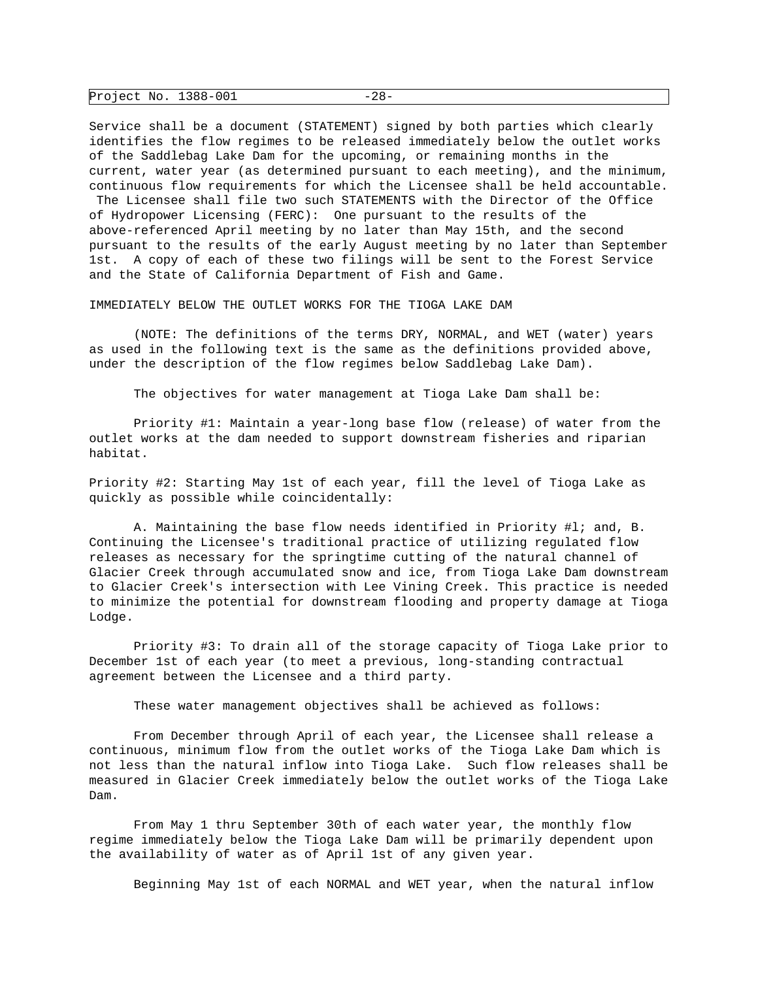| Project No. 1388-001 |  |  |
|----------------------|--|--|
|----------------------|--|--|

Service shall be a document (STATEMENT) signed by both parties which clearly identifies the flow regimes to be released immediately below the outlet works of the Saddlebag Lake Dam for the upcoming, or remaining months in the current, water year (as determined pursuant to each meeting), and the minimum, continuous flow requirements for which the Licensee shall be held accountable.

 The Licensee shall file two such STATEMENTS with the Director of the Office of Hydropower Licensing (FERC): One pursuant to the results of the above-referenced April meeting by no later than May 15th, and the second pursuant to the results of the early August meeting by no later than September 1st. A copy of each of these two filings will be sent to the Forest Service and the State of California Department of Fish and Game.

IMMEDIATELY BELOW THE OUTLET WORKS FOR THE TIOGA LAKE DAM

 (NOTE: The definitions of the terms DRY, NORMAL, and WET (water) years as used in the following text is the same as the definitions provided above, under the description of the flow regimes below Saddlebag Lake Dam).

The objectives for water management at Tioga Lake Dam shall be:

 Priority #1: Maintain a year-long base flow (release) of water from the outlet works at the dam needed to support downstream fisheries and riparian habitat.

Priority #2: Starting May 1st of each year, fill the level of Tioga Lake as quickly as possible while coincidentally:

 A. Maintaining the base flow needs identified in Priority #l; and, B. Continuing the Licensee's traditional practice of utilizing regulated flow releases as necessary for the springtime cutting of the natural channel of Glacier Creek through accumulated snow and ice, from Tioga Lake Dam downstream to Glacier Creek's intersection with Lee Vining Creek. This practice is needed to minimize the potential for downstream flooding and property damage at Tioga Lodge.

 Priority #3: To drain all of the storage capacity of Tioga Lake prior to December 1st of each year (to meet a previous, long-standing contractual agreement between the Licensee and a third party.

These water management objectives shall be achieved as follows:

 From December through April of each year, the Licensee shall release a continuous, minimum flow from the outlet works of the Tioga Lake Dam which is not less than the natural inflow into Tioga Lake. Such flow releases shall be measured in Glacier Creek immediately below the outlet works of the Tioga Lake Dam.

 From May 1 thru September 30th of each water year, the monthly flow regime immediately below the Tioga Lake Dam will be primarily dependent upon the availability of water as of April 1st of any given year.

Beginning May 1st of each NORMAL and WET year, when the natural inflow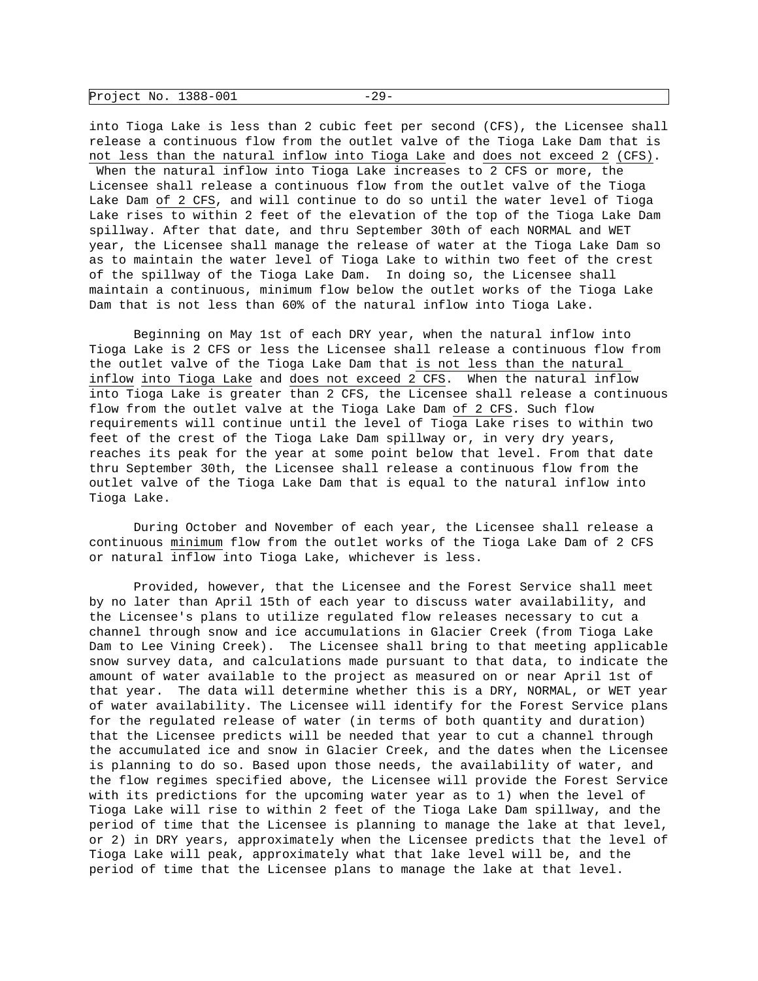| Project No. 1388-001 |  |  |
|----------------------|--|--|
|----------------------|--|--|

into Tioga Lake is less than 2 cubic feet per second (CFS), the Licensee shall release a continuous flow from the outlet valve of the Tioga Lake Dam that is not less than the natural inflow into Tioga Lake and does not exceed 2 (CFS). When the natural inflow into Tioga Lake increases to 2 CFS or more, the Licensee shall release a continuous flow from the outlet valve of the Tioga Lake Dam of 2 CFS, and will continue to do so until the water level of Tioga Lake rises to within 2 feet of the elevation of the top of the Tioga Lake Dam spillway. After that date, and thru September 30th of each NORMAL and WET year, the Licensee shall manage the release of water at the Tioga Lake Dam so as to maintain the water level of Tioga Lake to within two feet of the crest of the spillway of the Tioga Lake Dam. In doing so, the Licensee shall maintain a continuous, minimum flow below the outlet works of the Tioga Lake Dam that is not less than 60% of the natural inflow into Tioga Lake.

 Beginning on May 1st of each DRY year, when the natural inflow into Tioga Lake is 2 CFS or less the Licensee shall release a continuous flow from the outlet valve of the Tioga Lake Dam that is not less than the natural inflow into Tioga Lake and does not exceed 2 CFS. When the natural inflow into Tioga Lake is greater than 2 CFS, the Licensee shall release a continuous flow from the outlet valve at the Tioga Lake Dam of 2 CFS. Such flow requirements will continue until the level of Tioga Lake rises to within two feet of the crest of the Tioga Lake Dam spillway or, in very dry years, reaches its peak for the year at some point below that level. From that date thru September 30th, the Licensee shall release a continuous flow from the outlet valve of the Tioga Lake Dam that is equal to the natural inflow into Tioga Lake.

 During October and November of each year, the Licensee shall release a continuous minimum flow from the outlet works of the Tioga Lake Dam of 2 CFS or natural inflow into Tioga Lake, whichever is less.

 Provided, however, that the Licensee and the Forest Service shall meet by no later than April 15th of each year to discuss water availability, and the Licensee's plans to utilize regulated flow releases necessary to cut a channel through snow and ice accumulations in Glacier Creek (from Tioga Lake Dam to Lee Vining Creek). The Licensee shall bring to that meeting applicable snow survey data, and calculations made pursuant to that data, to indicate the amount of water available to the project as measured on or near April 1st of that year. The data will determine whether this is a DRY, NORMAL, or WET year of water availability. The Licensee will identify for the Forest Service plans for the regulated release of water (in terms of both quantity and duration) that the Licensee predicts will be needed that year to cut a channel through the accumulated ice and snow in Glacier Creek, and the dates when the Licensee is planning to do so. Based upon those needs, the availability of water, and the flow regimes specified above, the Licensee will provide the Forest Service with its predictions for the upcoming water year as to 1) when the level of Tioga Lake will rise to within 2 feet of the Tioga Lake Dam spillway, and the period of time that the Licensee is planning to manage the lake at that level, or 2) in DRY years, approximately when the Licensee predicts that the level of Tioga Lake will peak, approximately what that lake level will be, and the period of time that the Licensee plans to manage the lake at that level.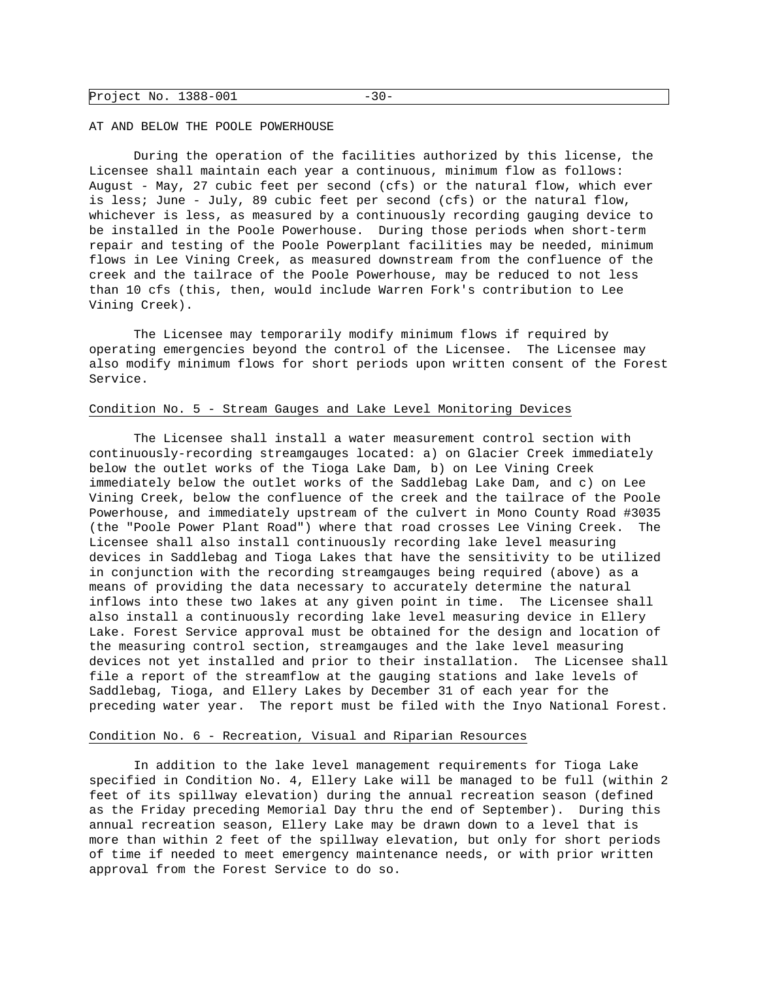| Project No. 1388-001 | – 3 U – |  |
|----------------------|---------|--|
|----------------------|---------|--|

#### AT AND BELOW THE POOLE POWERHOUSE

 During the operation of the facilities authorized by this license, the Licensee shall maintain each year a continuous, minimum flow as follows: August - May, 27 cubic feet per second (cfs) or the natural flow, which ever is less; June - July, 89 cubic feet per second (cfs) or the natural flow, whichever is less, as measured by a continuously recording gauging device to be installed in the Poole Powerhouse. During those periods when short-term repair and testing of the Poole Powerplant facilities may be needed, minimum flows in Lee Vining Creek, as measured downstream from the confluence of the creek and the tailrace of the Poole Powerhouse, may be reduced to not less than 10 cfs (this, then, would include Warren Fork's contribution to Lee Vining Creek).

 The Licensee may temporarily modify minimum flows if required by operating emergencies beyond the control of the Licensee. The Licensee may also modify minimum flows for short periods upon written consent of the Forest Service.

### Condition No. 5 - Stream Gauges and Lake Level Monitoring Devices

 The Licensee shall install a water measurement control section with continuously-recording streamgauges located: a) on Glacier Creek immediately below the outlet works of the Tioga Lake Dam, b) on Lee Vining Creek immediately below the outlet works of the Saddlebag Lake Dam, and c) on Lee Vining Creek, below the confluence of the creek and the tailrace of the Poole Powerhouse, and immediately upstream of the culvert in Mono County Road #3035 (the "Poole Power Plant Road") where that road crosses Lee Vining Creek. The Licensee shall also install continuously recording lake level measuring devices in Saddlebag and Tioga Lakes that have the sensitivity to be utilized in conjunction with the recording streamgauges being required (above) as a means of providing the data necessary to accurately determine the natural inflows into these two lakes at any given point in time. The Licensee shall also install a continuously recording lake level measuring device in Ellery Lake. Forest Service approval must be obtained for the design and location of the measuring control section, streamgauges and the lake level measuring devices not yet installed and prior to their installation. The Licensee shall file a report of the streamflow at the gauging stations and lake levels of Saddlebag, Tioga, and Ellery Lakes by December 31 of each year for the preceding water year. The report must be filed with the Inyo National Forest.

### Condition No. 6 - Recreation, Visual and Riparian Resources

 In addition to the lake level management requirements for Tioga Lake specified in Condition No. 4, Ellery Lake will be managed to be full (within 2 feet of its spillway elevation) during the annual recreation season (defined as the Friday preceding Memorial Day thru the end of September). During this annual recreation season, Ellery Lake may be drawn down to a level that is more than within 2 feet of the spillway elevation, but only for short periods of time if needed to meet emergency maintenance needs, or with prior written approval from the Forest Service to do so.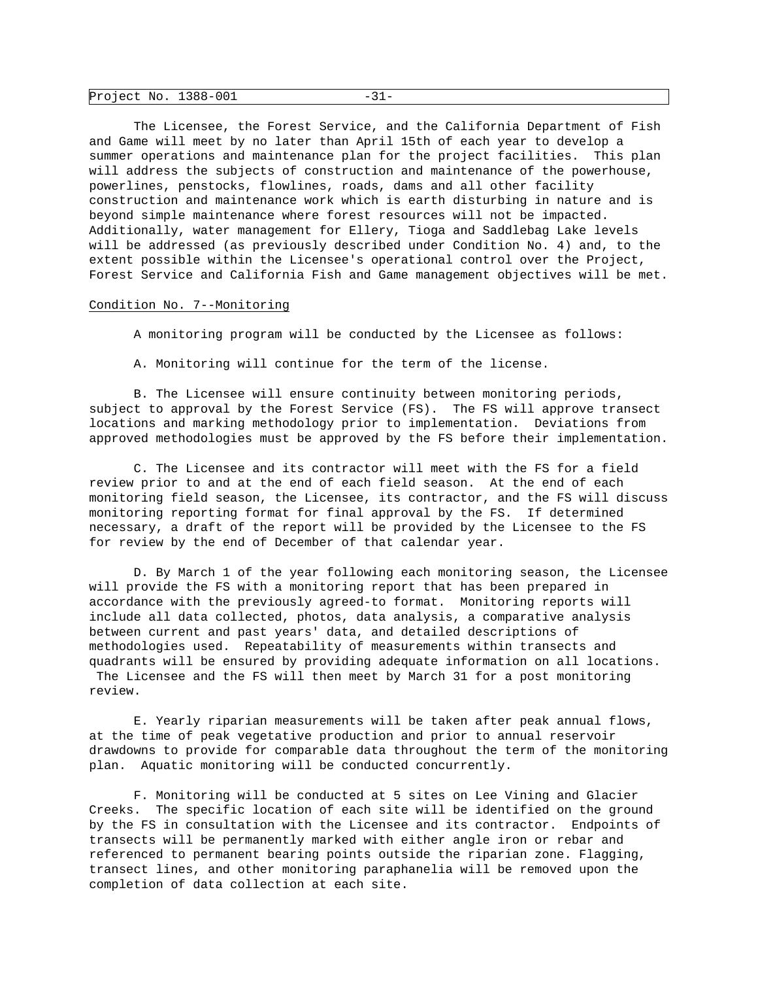| Project No. 1388-001 |  |  |
|----------------------|--|--|
|----------------------|--|--|

 The Licensee, the Forest Service, and the California Department of Fish and Game will meet by no later than April 15th of each year to develop a summer operations and maintenance plan for the project facilities. This plan will address the subjects of construction and maintenance of the powerhouse, powerlines, penstocks, flowlines, roads, dams and all other facility construction and maintenance work which is earth disturbing in nature and is beyond simple maintenance where forest resources will not be impacted. Additionally, water management for Ellery, Tioga and Saddlebag Lake levels will be addressed (as previously described under Condition No. 4) and, to the extent possible within the Licensee's operational control over the Project, Forest Service and California Fish and Game management objectives will be met.

### Condition No. 7--Monitoring

A monitoring program will be conducted by the Licensee as follows:

A. Monitoring will continue for the term of the license.

 B. The Licensee will ensure continuity between monitoring periods, subject to approval by the Forest Service (FS). The FS will approve transect locations and marking methodology prior to implementation. Deviations from approved methodologies must be approved by the FS before their implementation.

 C. The Licensee and its contractor will meet with the FS for a field review prior to and at the end of each field season. At the end of each monitoring field season, the Licensee, its contractor, and the FS will discuss monitoring reporting format for final approval by the FS. If determined necessary, a draft of the report will be provided by the Licensee to the FS for review by the end of December of that calendar year.

 D. By March 1 of the year following each monitoring season, the Licensee will provide the FS with a monitoring report that has been prepared in accordance with the previously agreed-to format. Monitoring reports will include all data collected, photos, data analysis, a comparative analysis between current and past years' data, and detailed descriptions of methodologies used. Repeatability of measurements within transects and quadrants will be ensured by providing adequate information on all locations. The Licensee and the FS will then meet by March 31 for a post monitoring review.

 E. Yearly riparian measurements will be taken after peak annual flows, at the time of peak vegetative production and prior to annual reservoir drawdowns to provide for comparable data throughout the term of the monitoring plan. Aquatic monitoring will be conducted concurrently.

 F. Monitoring will be conducted at 5 sites on Lee Vining and Glacier Creeks. The specific location of each site will be identified on the ground by the FS in consultation with the Licensee and its contractor. Endpoints of transects will be permanently marked with either angle iron or rebar and referenced to permanent bearing points outside the riparian zone. Flagging, transect lines, and other monitoring paraphanelia will be removed upon the completion of data collection at each site.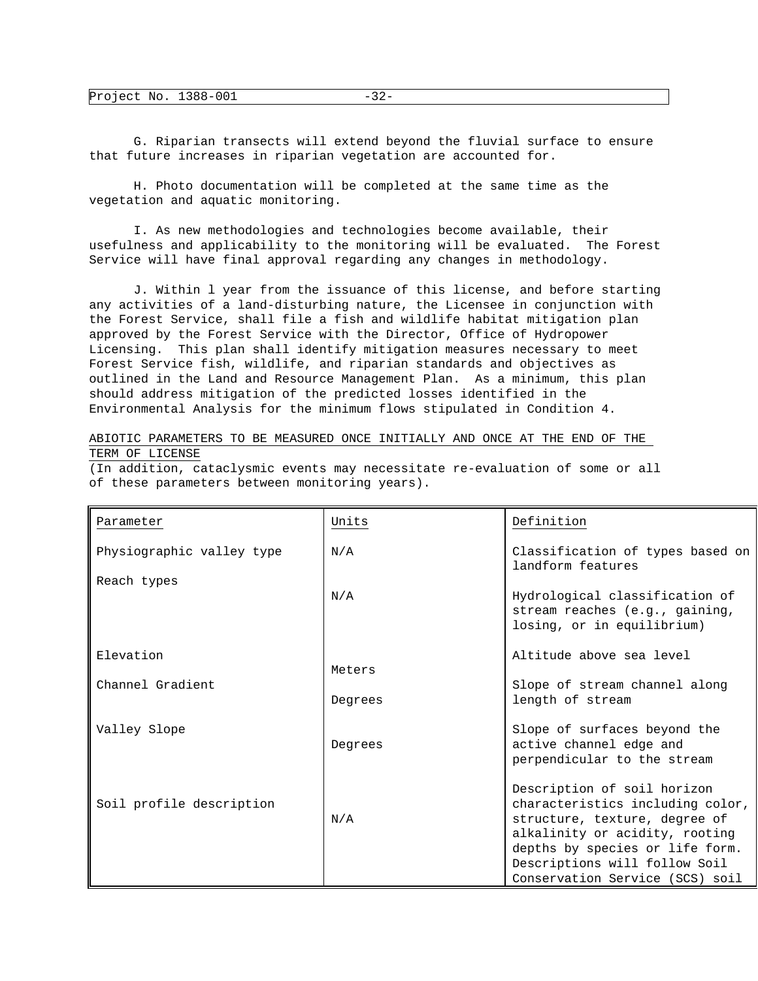|  | Project No. | 1200 001<br>TOO-OOT |  |
|--|-------------|---------------------|--|
|--|-------------|---------------------|--|

 G. Riparian transects will extend beyond the fluvial surface to ensure that future increases in riparian vegetation are accounted for.

 H. Photo documentation will be completed at the same time as the vegetation and aquatic monitoring.

 I. As new methodologies and technologies become available, their usefulness and applicability to the monitoring will be evaluated. The Forest Service will have final approval regarding any changes in methodology.

 J. Within l year from the issuance of this license, and before starting any activities of a land-disturbing nature, the Licensee in conjunction with the Forest Service, shall file a fish and wildlife habitat mitigation plan approved by the Forest Service with the Director, Office of Hydropower Licensing. This plan shall identify mitigation measures necessary to meet Forest Service fish, wildlife, and riparian standards and objectives as outlined in the Land and Resource Management Plan. As a minimum, this plan should address mitigation of the predicted losses identified in the Environmental Analysis for the minimum flows stipulated in Condition 4.

ABIOTIC PARAMETERS TO BE MEASURED ONCE INITIALLY AND ONCE AT THE END OF THE TERM OF LICENSE

(In addition, cataclysmic events may necessitate re-evaluation of some or all of these parameters between monitoring years).

| Parameter                 | Units   | Definition                                                                                                                                                                                                                                |
|---------------------------|---------|-------------------------------------------------------------------------------------------------------------------------------------------------------------------------------------------------------------------------------------------|
| Physiographic valley type | N/A     | Classification of types based on<br>landform features                                                                                                                                                                                     |
| Reach types               | N/A     | Hydrological classification of<br>stream reaches (e.g., gaining,<br>losing, or in equilibrium)                                                                                                                                            |
| Elevation                 | Meters  | Altitude above sea level                                                                                                                                                                                                                  |
| Channel Gradient          | Degrees | Slope of stream channel along<br>length of stream                                                                                                                                                                                         |
| Valley Slope              | Degrees | Slope of surfaces beyond the<br>active channel edge and<br>perpendicular to the stream                                                                                                                                                    |
| Soil profile description  | N/A     | Description of soil horizon<br>characteristics including color,<br>structure, texture, degree of<br>alkalinity or acidity, rooting<br>depths by species or life form.<br>Descriptions will follow Soil<br>Conservation Service (SCS) soil |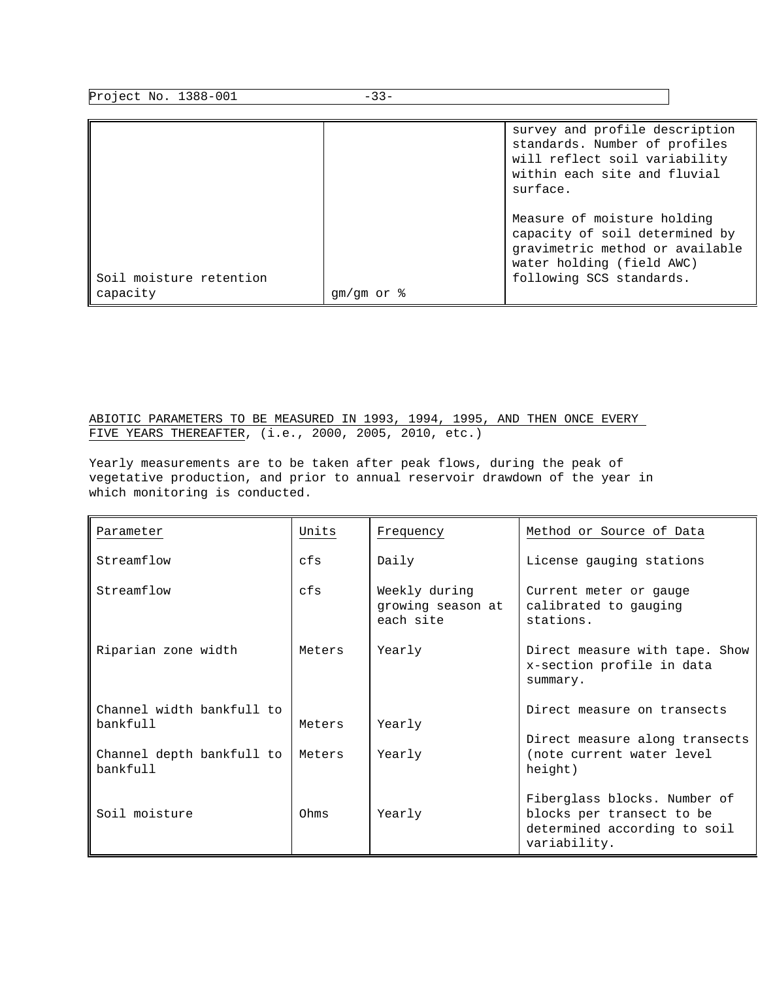| Project No. 1388-001                | $-33-$                   |                                                                                                                                                           |
|-------------------------------------|--------------------------|-----------------------------------------------------------------------------------------------------------------------------------------------------------|
|                                     |                          | survey and profile description<br>standards. Number of profiles<br>will reflect soil variability<br>within each site and fluvial<br>surface.              |
| Soil moisture retention<br>capacity | $qm/cm$ or $\frac{8}{9}$ | Measure of moisture holding<br>capacity of soil determined by<br>gravimetric method or available<br>water holding (field AWC)<br>following SCS standards. |

# ABIOTIC PARAMETERS TO BE MEASURED IN 1993, 1994, 1995, AND THEN ONCE EVERY FIVE YEARS THEREAFTER, (i.e., 2000, 2005, 2010, etc.)

Yearly measurements are to be taken after peak flows, during the peak of vegetative production, and prior to annual reservoir drawdown of the year in which monitoring is conducted.

| Parameter                             | Units  | Frequency                                       | Method or Source of Data                                                                                  |
|---------------------------------------|--------|-------------------------------------------------|-----------------------------------------------------------------------------------------------------------|
| Streamflow                            | cfs    | Daily                                           | License gauging stations                                                                                  |
| Streamflow                            | cfs    | Weekly during<br>growing season at<br>each site | Current meter or gauge<br>calibrated to gauging<br>stations.                                              |
| Riparian zone width                   | Meters | Yearly                                          | Direct measure with tape. Show<br>x-section profile in data<br>summary.                                   |
| Channel width bankfull to             |        |                                                 | Direct measure on transects                                                                               |
| bankfull                              | Meters | Yearly                                          | Direct measure along transects                                                                            |
| Channel depth bankfull to<br>bankfull | Meters | Yearly                                          | (note current water level<br>height)                                                                      |
| Soil moisture                         | Ohms   | Yearly                                          | Fiberglass blocks. Number of<br>blocks per transect to be<br>determined according to soil<br>variability. |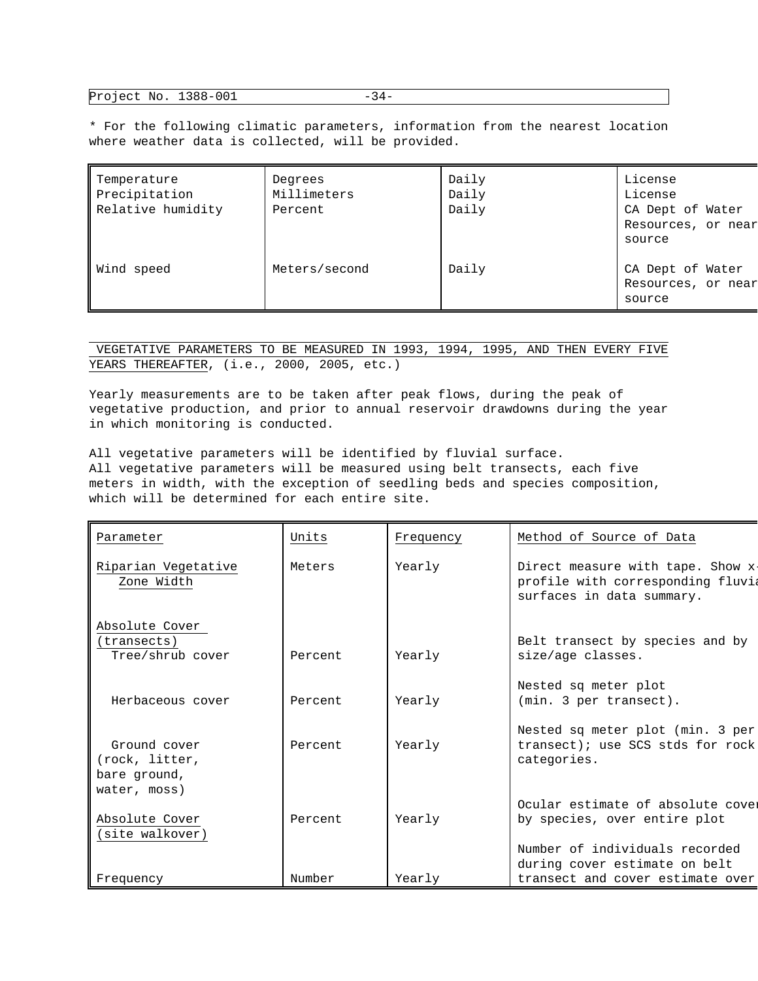Project No. 1388-001 -34-

\* For the following climatic parameters, information from the nearest location where weather data is collected, will be provided.

| Temperature<br>Precipitation<br>Relative humidity | Degrees<br>Millimeters<br>Percent | Daily<br>Daily<br>Daily | License<br>License<br>CA Dept of Water<br>Resources, or near<br>source |
|---------------------------------------------------|-----------------------------------|-------------------------|------------------------------------------------------------------------|
| Wind speed                                        | Meters/second                     | Daily                   | CA Dept of Water<br>Resources, or near<br>source                       |

 VEGETATIVE PARAMETERS TO BE MEASURED IN 1993, 1994, 1995, AND THEN EVERY FIVE YEARS THEREAFTER, (i.e., 2000, 2005, etc.)

Yearly measurements are to be taken after peak flows, during the peak of vegetative production, and prior to annual reservoir drawdowns during the year in which monitoring is conducted.

All vegetative parameters will be identified by fluvial surface. All vegetative parameters will be measured using belt transects, each five meters in width, with the exception of seedling beds and species composition, which will be determined for each entire site.

| Parameter                                         | Units   | Frequency | Method of Source of Data                                                                            |
|---------------------------------------------------|---------|-----------|-----------------------------------------------------------------------------------------------------|
| Riparian Vegetative<br>Zone Width                 | Meters  | Yearly    | Direct measure with tape. Show x-<br>profile with corresponding fluvia<br>surfaces in data summary. |
| Absolute Cover<br>(transects)<br>Tree/shrub cover | Percent | Yearly    | Belt transect by species and by<br>size/age classes.                                                |
| Herbaceous cover                                  | Percent | Yearly    | Nested sq meter plot<br>(min. 3 per transect).                                                      |
| Ground cover<br>(rock, litter,<br>bare ground,    | Percent | Yearly    | Nested sq meter plot (min. 3 per<br>transect); use SCS stds for rock<br>categories.                 |
| water, moss)<br>Absolute Cover<br>(site walkover) | Percent | Yearly    | Ocular estimate of absolute cover<br>by species, over entire plot                                   |
| Frequency                                         | Number  | Yearly    | Number of individuals recorded<br>during cover estimate on belt<br>transect and cover estimate over |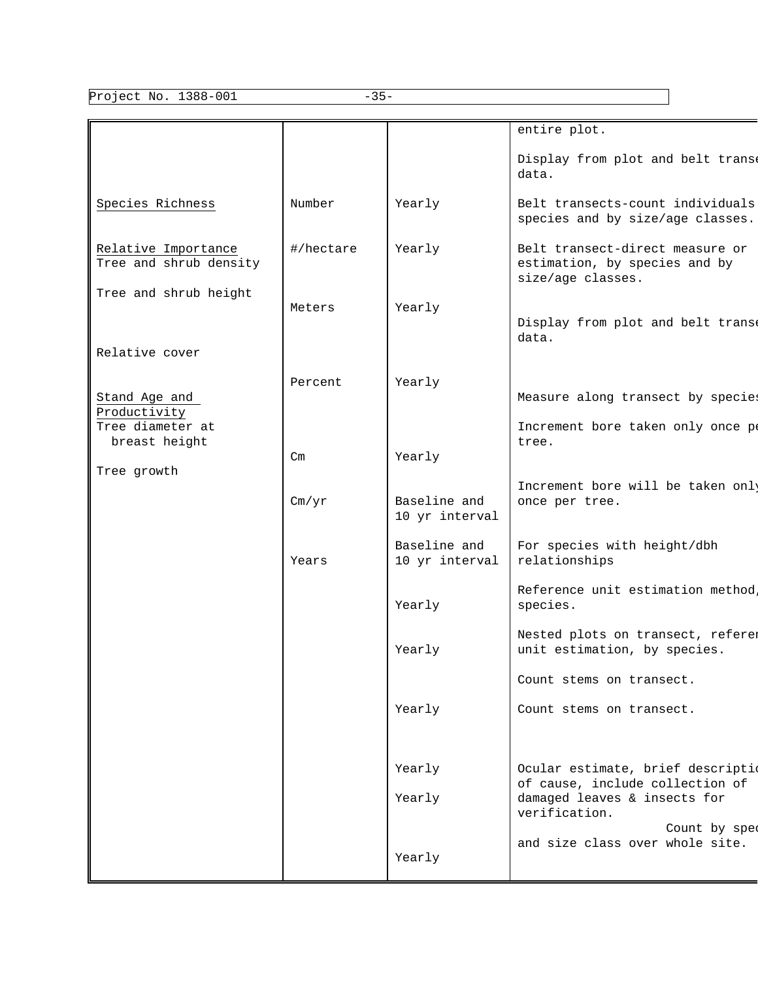Project No. 1388-001 -35-

٦

|                                               |           |                                | entire plot.                                                                          |
|-----------------------------------------------|-----------|--------------------------------|---------------------------------------------------------------------------------------|
|                                               |           |                                | Display from plot and belt trans<br>data.                                             |
| Species Richness                              | Number    | Yearly                         | Belt transects-count individuals<br>species and by size/age classes.                  |
| Relative Importance<br>Tree and shrub density | #/hectare | Yearly                         | Belt transect-direct measure or<br>estimation, by species and by<br>size/age classes. |
| Tree and shrub height                         | Meters    | Yearly                         | Display from plot and belt trans<br>data.                                             |
| Relative cover                                |           |                                |                                                                                       |
| Stand Age and<br>Productivity                 | Percent   | Yearly                         | Measure along transect by species                                                     |
| Tree diameter at<br>breast height             | Cm        | Yearly                         | Increment bore taken only once pe<br>tree.                                            |
| Tree growth                                   | Cm/yr     | Baseline and<br>10 yr interval | Increment bore will be taken only<br>once per tree.                                   |
|                                               | Years     | Baseline and<br>10 yr interval | For species with height/dbh<br>relationships                                          |
|                                               |           | Yearly                         | Reference unit estimation method<br>species.                                          |
|                                               |           | Yearly                         | Nested plots on transect, referer<br>unit estimation, by species.                     |
|                                               |           |                                | Count stems on transect.                                                              |
|                                               |           | Yearly                         | Count stems on transect.                                                              |
|                                               |           | Yearly                         | Ocular estimate, brief description                                                    |
|                                               |           | Yearly                         | of cause, include collection of<br>damaged leaves & insects for<br>verification.      |
|                                               |           | Yearly                         | Count by spee<br>and size class over whole site.                                      |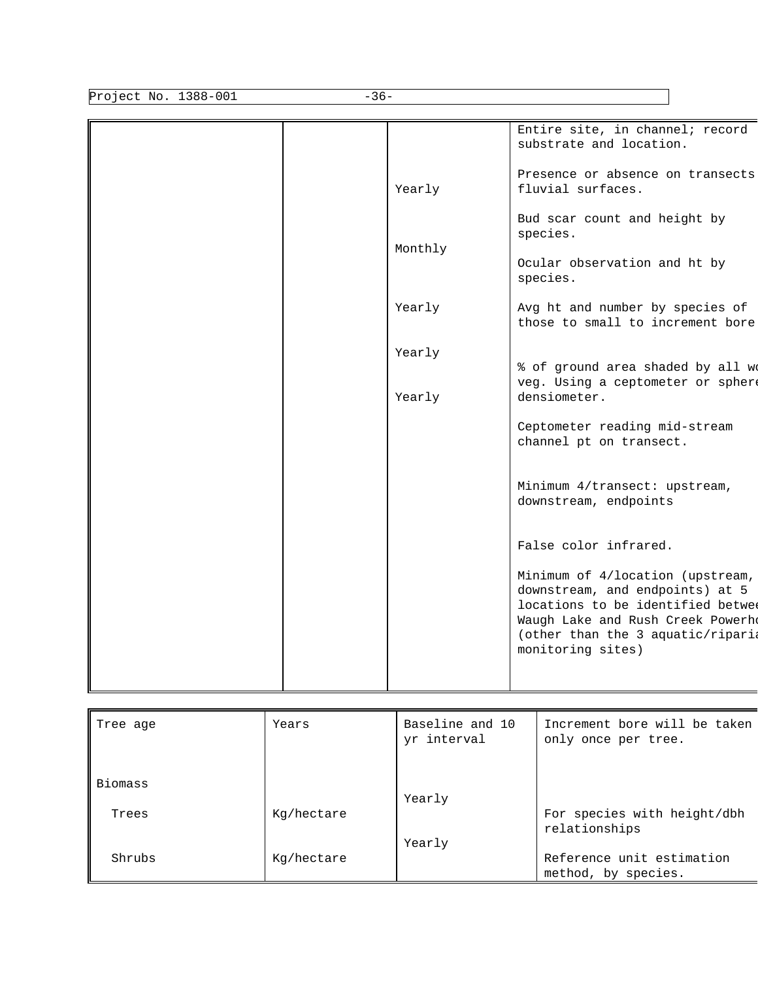| $-36-$               |                                       |                                                                                                                                                                                                                                                                                                                                                                                                            |  |
|----------------------|---------------------------------------|------------------------------------------------------------------------------------------------------------------------------------------------------------------------------------------------------------------------------------------------------------------------------------------------------------------------------------------------------------------------------------------------------------|--|
| Project No. 1388-001 | Yearly<br>Monthly<br>Yearly<br>Yearly | Entire site, in channel; record<br>substrate and location.<br>Presence or absence on transects<br>fluvial surfaces.<br>Bud scar count and height by<br>species.<br>Ocular observation and ht by<br>species.<br>Avg ht and number by species of<br>those to small to increment bore<br>% of ground area shaded by all we                                                                                    |  |
|                      | Yearly                                | veg. Using a ceptometer or sphere<br>densiometer.<br>Ceptometer reading mid-stream<br>channel pt on transect.<br>Minimum 4/transect: upstream,<br>downstream, endpoints<br>False color infrared.<br>Minimum of 4/location (upstream,<br>downstream, and endpoints) at 5<br>locations to be identified betwee<br>Waugh Lake and Rush Creek Powerh<br>(other than the 3 aquatic/riparia<br>monitoring sites) |  |

| Tree age | Years      | Baseline and 10<br>yr interval | Increment bore will be taken<br>only once per tree. |
|----------|------------|--------------------------------|-----------------------------------------------------|
| Biomass  |            |                                |                                                     |
|          |            | Yearly                         |                                                     |
| Trees    | Kg/hectare |                                | For species with height/dbh<br>relationships        |
|          |            | Yearly                         |                                                     |
| Shrubs   | Kg/hectare |                                | Reference unit estimation                           |
|          |            |                                | method, by species.                                 |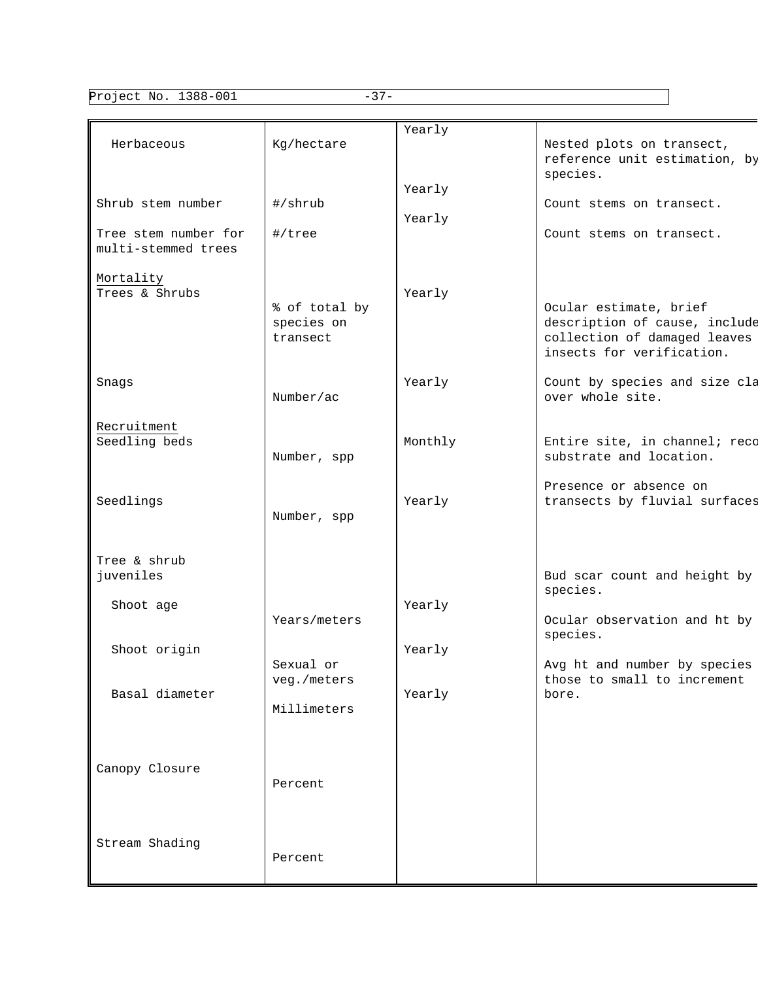Project No. 1388-001 -37-

| Herbaceous                                  | Kg/hectare                              | Yearly           | Nested plots on transect,<br>reference unit estimation, by<br>species.                                               |
|---------------------------------------------|-----------------------------------------|------------------|----------------------------------------------------------------------------------------------------------------------|
| Shrub stem number                           | #/shrub                                 | Yearly<br>Yearly | Count stems on transect.                                                                                             |
| Tree stem number for<br>multi-stemmed trees | #/tree                                  |                  | Count stems on transect.                                                                                             |
| Mortality<br>Trees & Shrubs                 | % of total by<br>species on<br>transect | Yearly           | Ocular estimate, brief<br>description of cause, include<br>collection of damaged leaves<br>insects for verification. |
| Snags                                       | Number/ac                               | Yearly           | Count by species and size cla<br>over whole site.                                                                    |
| Recruitment<br>Seedling beds                | Number, spp                             | Monthly          | Entire site, in channel; reco<br>substrate and location.                                                             |
| Seedlings                                   | Number, spp                             | Yearly           | Presence or absence on<br>transects by fluvial surfaces                                                              |
| Tree & shrub<br>juveniles                   |                                         |                  | Bud scar count and height by<br>species.                                                                             |
| Shoot age                                   | Years/meters                            | Yearly           | Ocular observation and ht by<br>species.                                                                             |
| Shoot origin                                | Sexual or                               | Yearly           | Avg ht and number by species                                                                                         |
| Basal diameter                              | veg./meters<br>Millimeters              | Yearly           | those to small to increment<br>bore.                                                                                 |
| Canopy Closure                              | Percent                                 |                  |                                                                                                                      |
| Stream Shading                              | Percent                                 |                  |                                                                                                                      |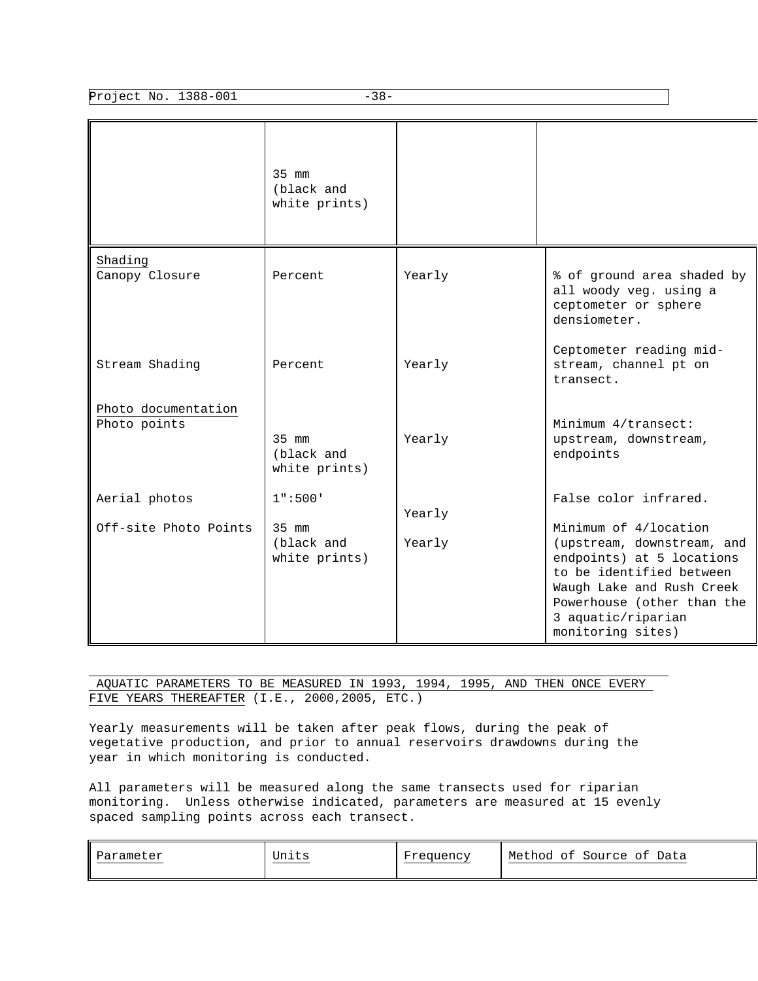Project No. 1388-001 -38-

|                                     | 35 mm<br>(black and<br>white prints)   |        |                                                                                                                                                                                                                    |
|-------------------------------------|----------------------------------------|--------|--------------------------------------------------------------------------------------------------------------------------------------------------------------------------------------------------------------------|
| Shading<br>Canopy Closure           | Percent                                | Yearly | % of ground area shaded by<br>all woody veg. using a<br>ceptometer or sphere<br>densiometer.                                                                                                                       |
| Stream Shading                      | Percent                                | Yearly | Ceptometer reading mid-<br>stream, channel pt on<br>transect.                                                                                                                                                      |
| Photo documentation<br>Photo points | $35$ mm<br>(black and<br>white prints) | Yearly | Minimum 4/transect:<br>upstream, downstream,<br>endpoints                                                                                                                                                          |
| Aerial photos                       | 1" : 500"                              | Yearly | False color infrared.                                                                                                                                                                                              |
| Off-site Photo Points               | 35 mm<br>(black and<br>white prints)   | Yearly | Minimum of 4/location<br>(upstream, downstream, and<br>endpoints) at 5 locations<br>to be identified between<br>Waugh Lake and Rush Creek<br>Powerhouse (other than the<br>3 aquatic/riparian<br>monitoring sites) |

 AQUATIC PARAMETERS TO BE MEASURED IN 1993, 1994, 1995, AND THEN ONCE EVERY FIVE YEARS THEREAFTER (I.E., 2000,2005, ETC.)

Yearly measurements will be taken after peak flows, during the peak of vegetative production, and prior to annual reservoirs drawdowns during the year in which monitoring is conducted.

All parameters will be measured along the same transects used for riparian monitoring. Unless otherwise indicated, parameters are measured at 15 evenly spaced sampling points across each transect.

| Units<br>Parameter | Frequency | Method<br>Data<br>Source<br>оt<br>ot |  |
|--------------------|-----------|--------------------------------------|--|
|--------------------|-----------|--------------------------------------|--|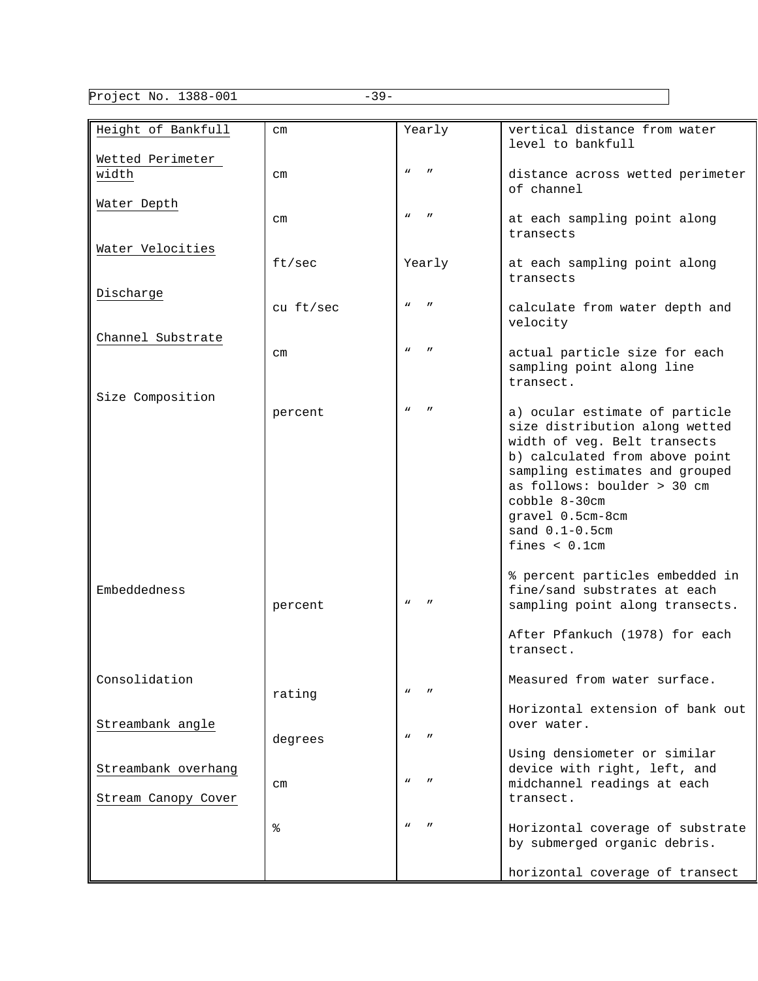Project No. 1388-001 -39-

| Height of Bankfull                         | $\rm cm$  | Yearly                                        | vertical distance from water<br>level to bankfull                                                                                                                                                                                                                                   |
|--------------------------------------------|-----------|-----------------------------------------------|-------------------------------------------------------------------------------------------------------------------------------------------------------------------------------------------------------------------------------------------------------------------------------------|
| Wetted Perimeter<br>width                  | $\rm cm$  | $\boldsymbol{\mathsf{u}}$<br>$\mathbf{u}$     | distance across wetted perimeter<br>of channel                                                                                                                                                                                                                                      |
| Water Depth                                | $\rm cm$  | $\boldsymbol{\mathsf{u}}$<br>$\boldsymbol{H}$ | at each sampling point along<br>transects                                                                                                                                                                                                                                           |
| Water Velocities                           | ft/sec    | Yearly                                        | at each sampling point along<br>transects                                                                                                                                                                                                                                           |
| Discharge                                  | cu ft/sec | $\boldsymbol{\mathsf{u}}$<br>$\mathbf{u}$     | calculate from water depth and<br>velocity                                                                                                                                                                                                                                          |
| Channel Substrate                          | $\rm cm$  | $\boldsymbol{\mathsf{u}}$<br>$\mathbf{u}$     | actual particle size for each<br>sampling point along line<br>transect.                                                                                                                                                                                                             |
| Size Composition                           | percent   | $\boldsymbol{\mathsf{u}}$                     | a) ocular estimate of particle<br>size distribution along wetted<br>width of veg. Belt transects<br>b) calculated from above point<br>sampling estimates and grouped<br>as follows: boulder > 30 cm<br>cobble 8-30cm<br>gravel 0.5cm-8cm<br>sand $0.1 - 0.5$ cm<br>fines $< 0.1$ cm |
| Embeddedness                               | percent   | $\boldsymbol{\mathsf{u}}$                     | % percent particles embedded in<br>fine/sand substrates at each<br>sampling point along transects.                                                                                                                                                                                  |
|                                            |           |                                               | After Pfankuch (1978) for each<br>transect.                                                                                                                                                                                                                                         |
| Consolidation                              | rating    | $\boldsymbol{\mathsf{u}}$                     | Measured from water surface.                                                                                                                                                                                                                                                        |
| Streambank angle                           | degrees   | $\boldsymbol{\mathsf{M}}$                     | Horizontal extension of bank out<br>over water.                                                                                                                                                                                                                                     |
| Streambank overhang<br>Stream Canopy Cover | $\, cm$   | $\boldsymbol{\mathsf{u}}$                     | Using densiometer or similar<br>device with right, left, and<br>midchannel readings at each<br>transect.                                                                                                                                                                            |
|                                            | ៖         | $\boldsymbol{\mathsf{u}}$                     | Horizontal coverage of substrate<br>by submerged organic debris.                                                                                                                                                                                                                    |
|                                            |           |                                               | horizontal coverage of transect                                                                                                                                                                                                                                                     |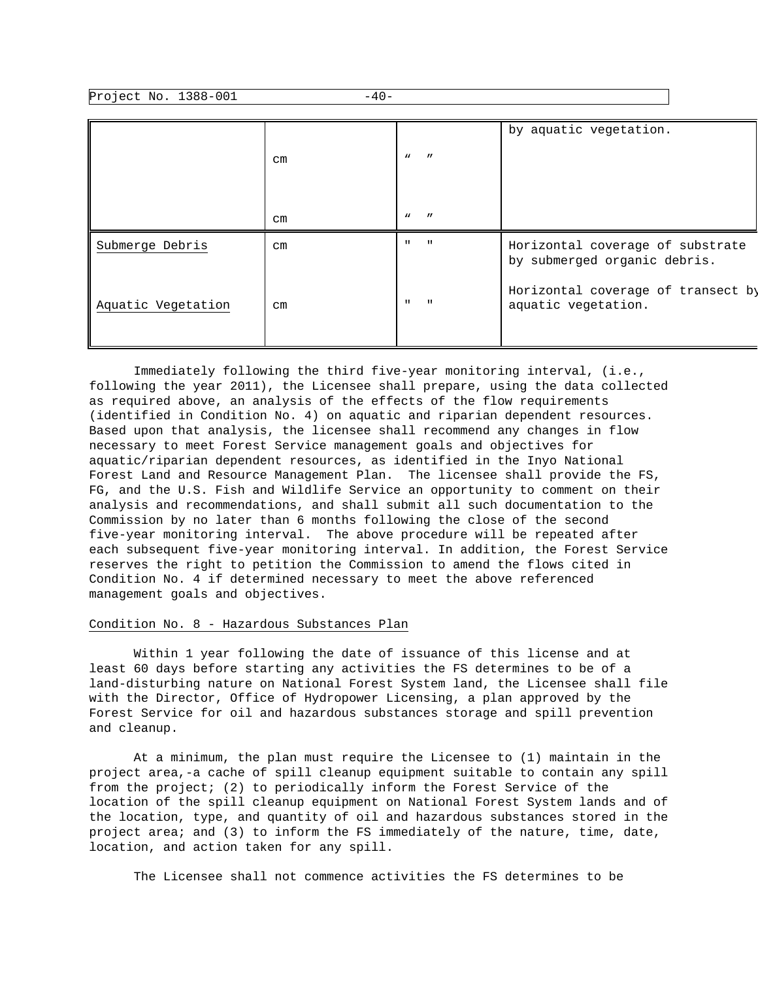Project No. 1388-001 -40-

|                    | $\rm cm$ | $\mathbf{v}$<br>$\overline{u}$     | by aquatic vegetation.                                           |
|--------------------|----------|------------------------------------|------------------------------------------------------------------|
|                    | $\rm cm$ | $\overline{u}$<br>$\boldsymbol{M}$ |                                                                  |
| Submerge Debris    | $\rm cm$ | $\mathbf{u}$<br>$\mathbf{H}$       | Horizontal coverage of substrate<br>by submerged organic debris. |
| Aquatic Vegetation | $\rm cm$ | $\mathbf{H}$<br>$\mathbf{H}$       | Horizontal coverage of transect by<br>aquatic vegetation.        |

 Immediately following the third five-year monitoring interval, (i.e., following the year 2011), the Licensee shall prepare, using the data collected as required above, an analysis of the effects of the flow requirements (identified in Condition No. 4) on aquatic and riparian dependent resources. Based upon that analysis, the licensee shall recommend any changes in flow necessary to meet Forest Service management goals and objectives for aquatic/riparian dependent resources, as identified in the Inyo National Forest Land and Resource Management Plan. The licensee shall provide the FS, FG, and the U.S. Fish and Wildlife Service an opportunity to comment on their analysis and recommendations, and shall submit all such documentation to the Commission by no later than 6 months following the close of the second five-year monitoring interval. The above procedure will be repeated after each subsequent five-year monitoring interval. In addition, the Forest Service reserves the right to petition the Commission to amend the flows cited in Condition No. 4 if determined necessary to meet the above referenced management goals and objectives.

### Condition No. 8 - Hazardous Substances Plan

 Within 1 year following the date of issuance of this license and at least 60 days before starting any activities the FS determines to be of a land-disturbing nature on National Forest System land, the Licensee shall file with the Director, Office of Hydropower Licensing, a plan approved by the Forest Service for oil and hazardous substances storage and spill prevention and cleanup.

 At a minimum, the plan must require the Licensee to (1) maintain in the project area,-a cache of spill cleanup equipment suitable to contain any spill from the project; (2) to periodically inform the Forest Service of the location of the spill cleanup equipment on National Forest System lands and of the location, type, and quantity of oil and hazardous substances stored in the project area; and (3) to inform the FS immediately of the nature, time, date, location, and action taken for any spill.

The Licensee shall not commence activities the FS determines to be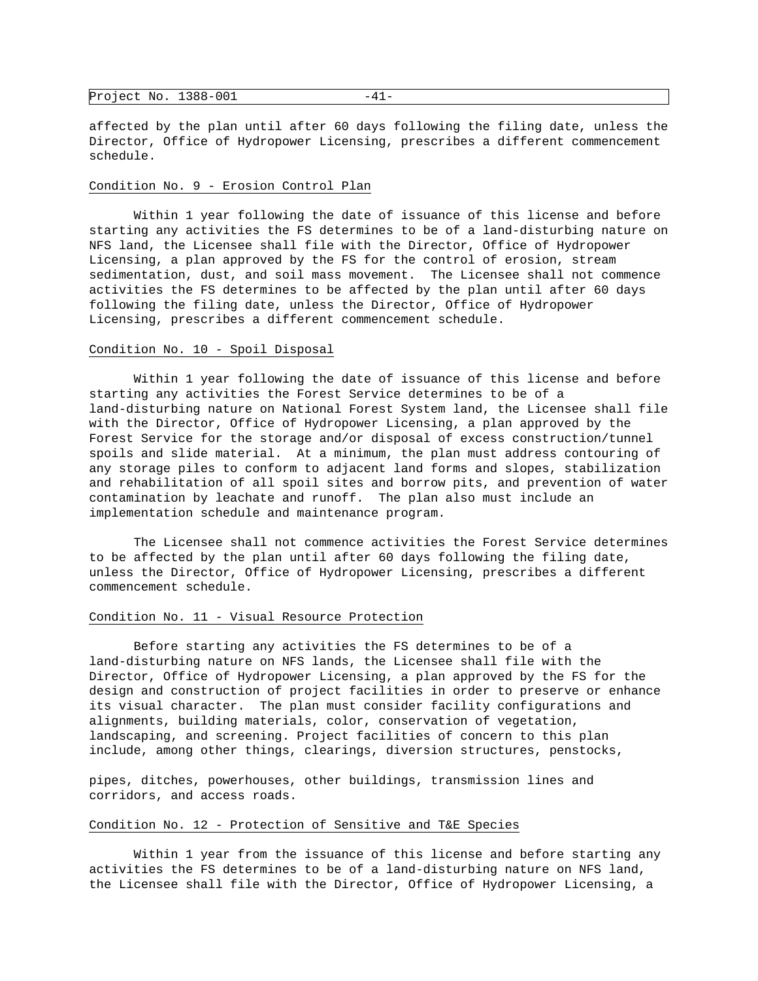|--|

affected by the plan until after 60 days following the filing date, unless the Director, Office of Hydropower Licensing, prescribes a different commencement schedule.

#### Condition No. 9 - Erosion Control Plan

 Within 1 year following the date of issuance of this license and before starting any activities the FS determines to be of a land-disturbing nature on NFS land, the Licensee shall file with the Director, Office of Hydropower Licensing, a plan approved by the FS for the control of erosion, stream sedimentation, dust, and soil mass movement. The Licensee shall not commence activities the FS determines to be affected by the plan until after 60 days following the filing date, unless the Director, Office of Hydropower Licensing, prescribes a different commencement schedule.

#### Condition No. 10 - Spoil Disposal

 Within 1 year following the date of issuance of this license and before starting any activities the Forest Service determines to be of a land-disturbing nature on National Forest System land, the Licensee shall file with the Director, Office of Hydropower Licensing, a plan approved by the Forest Service for the storage and/or disposal of excess construction/tunnel spoils and slide material. At a minimum, the plan must address contouring of any storage piles to conform to adjacent land forms and slopes, stabilization and rehabilitation of all spoil sites and borrow pits, and prevention of water contamination by leachate and runoff. The plan also must include an implementation schedule and maintenance program.

 The Licensee shall not commence activities the Forest Service determines to be affected by the plan until after 60 days following the filing date, unless the Director, Office of Hydropower Licensing, prescribes a different commencement schedule.

### Condition No. 11 - Visual Resource Protection

 Before starting any activities the FS determines to be of a land-disturbing nature on NFS lands, the Licensee shall file with the Director, Office of Hydropower Licensing, a plan approved by the FS for the design and construction of project facilities in order to preserve or enhance its visual character. The plan must consider facility configurations and alignments, building materials, color, conservation of vegetation, landscaping, and screening. Project facilities of concern to this plan include, among other things, clearings, diversion structures, penstocks,

pipes, ditches, powerhouses, other buildings, transmission lines and corridors, and access roads.

### Condition No. 12 - Protection of Sensitive and T&E Species

 Within 1 year from the issuance of this license and before starting any activities the FS determines to be of a land-disturbing nature on NFS land, the Licensee shall file with the Director, Office of Hydropower Licensing, a